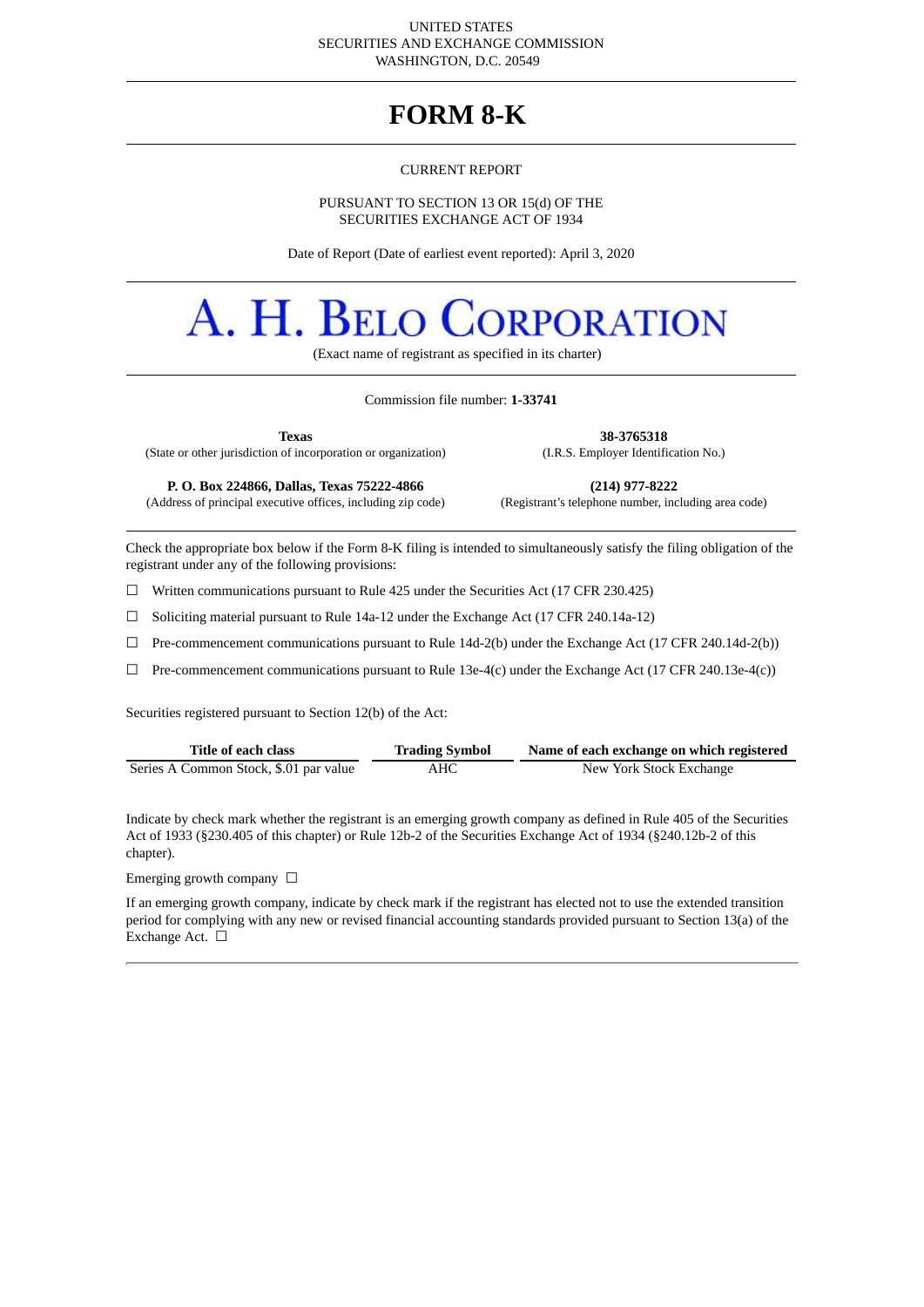#### UNITED STATES SECURITIES AND EXCHANGE COMMISSION WASHINGTON, D.C. 20549

# **FORM 8-K**

#### CURRENT REPORT

#### PURSUANT TO SECTION 13 OR 15(d) OF THE SECURITIES EXCHANGE ACT OF 1934

Date of Report (Date of earliest event reported): April 3, 2020

# A. H. BELO **DRPORATION**

(Exact name of registrant as specified in its charter)

#### Commission file number: **1-33741**

**Texas 38-3765318**

(State or other jurisdiction of incorporation or organization) (I.R.S. Employer Identification No.)

(Address of principal executive offices, including zip code)

**P. O. Box 224866, Dallas, Texas 75222-4866 (214) 977-8222**

Check the appropriate box below if the Form 8-K filing is intended to simultaneously satisfy the filing obligation of the registrant under any of the following provisions:

☐ Written communications pursuant to Rule 425 under the Securities Act (17 CFR 230.425)

 $\Box$  Soliciting material pursuant to Rule 14a-12 under the Exchange Act (17 CFR 240.14a-12)

☐ Pre-commencement communications pursuant to Rule 14d-2(b) under the Exchange Act (17 CFR 240.14d-2(b))

 $\Box$  Pre-commencement communications pursuant to Rule 13e-4(c) under the Exchange Act (17 CFR 240.13e-4(c))

Securities registered pursuant to Section 12(b) of the Act:

| Title of each class                    | <b>Trading Symbol</b> | Name of each exchange on which registered |
|----------------------------------------|-----------------------|-------------------------------------------|
| Series A Common Stock, \$.01 par value | AHC                   | New York Stock Exchange                   |

Indicate by check mark whether the registrant is an emerging growth company as defined in Rule 405 of the Securities Act of 1933 (§230.405 of this chapter) or Rule 12b-2 of the Securities Exchange Act of 1934 (§240.12b-2 of this chapter).

Emerging growth company  $\Box$ 

If an emerging growth company, indicate by check mark if the registrant has elected not to use the extended transition period for complying with any new or revised financial accounting standards provided pursuant to Section 13(a) of the Exchange Act. □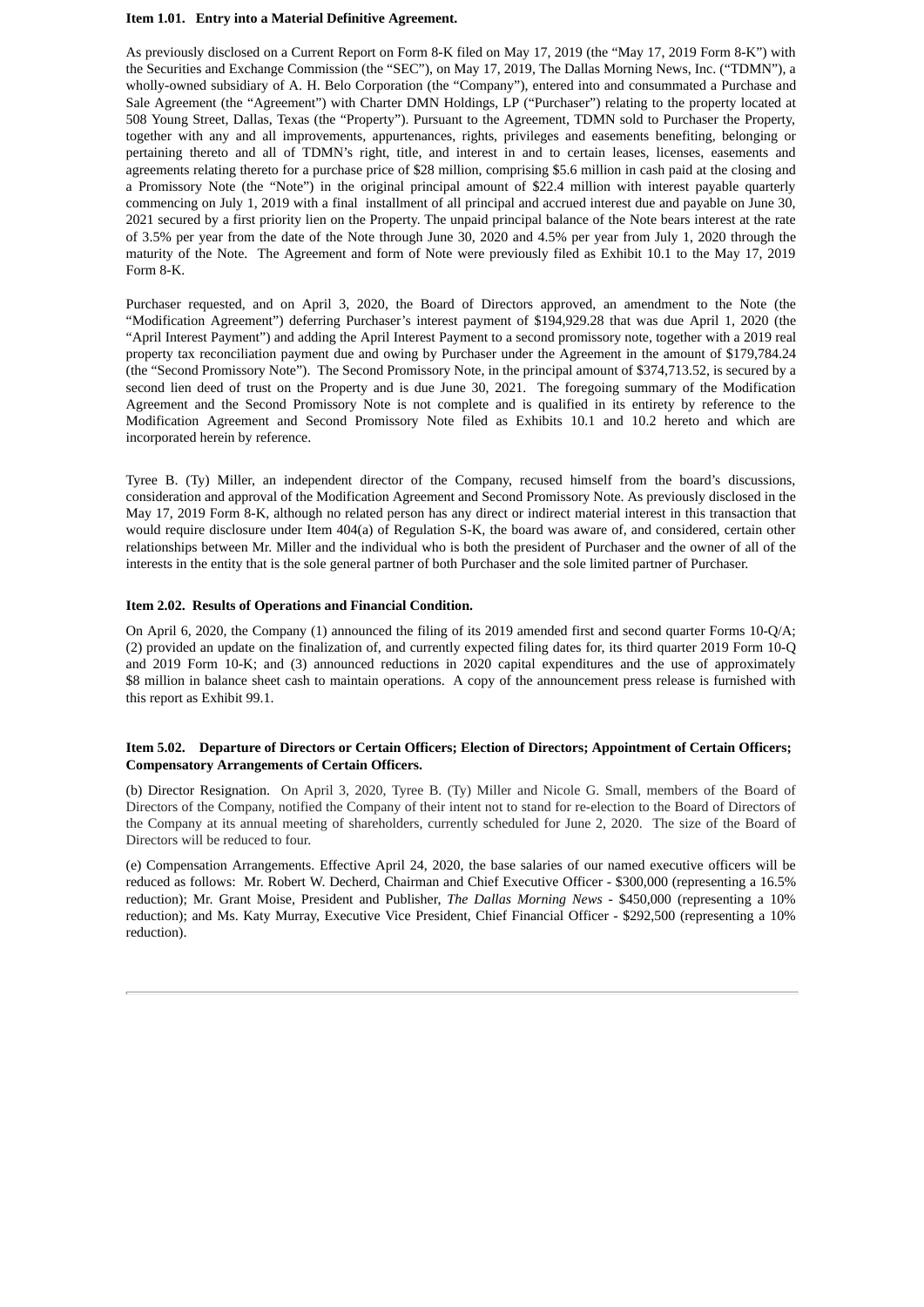#### **Item 1.01. Entry into a Material Definitive Agreement.**

As previously disclosed on a Current Report on Form 8-K filed on May 17, 2019 (the "May 17, 2019 Form 8-K") with the Securities and Exchange Commission (the "SEC"), on May 17, 2019, The Dallas Morning News, Inc. ("TDMN"), a wholly-owned subsidiary of A. H. Belo Corporation (the "Company"), entered into and consummated a Purchase and Sale Agreement (the "Agreement") with Charter DMN Holdings, LP ("Purchaser") relating to the property located at 508 Young Street, Dallas, Texas (the "Property"). Pursuant to the Agreement, TDMN sold to Purchaser the Property, together with any and all improvements, appurtenances, rights, privileges and easements benefiting, belonging or pertaining thereto and all of TDMN's right, title, and interest in and to certain leases, licenses, easements and agreements relating thereto for a purchase price of \$28 million, comprising \$5.6 million in cash paid at the closing and a Promissory Note (the "Note") in the original principal amount of \$22.4 million with interest payable quarterly commencing on July 1, 2019 with a final installment of all principal and accrued interest due and payable on June 30, 2021 secured by a first priority lien on the Property. The unpaid principal balance of the Note bears interest at the rate of 3.5% per year from the date of the Note through June 30, 2020 and 4.5% per year from July 1, 2020 through the maturity of the Note. The Agreement and form of Note were previously filed as Exhibit 10.1 to the May 17, 2019 Form 8-K.

Purchaser requested, and on April 3, 2020, the Board of Directors approved, an amendment to the Note (the "Modification Agreement") deferring Purchaser's interest payment of \$194,929.28 that was due April 1, 2020 (the "April Interest Payment") and adding the April Interest Payment to a second promissory note, together with a 2019 real property tax reconciliation payment due and owing by Purchaser under the Agreement in the amount of \$179,784.24 (the "Second Promissory Note"). The Second Promissory Note, in the principal amount of \$374,713.52, is secured by a second lien deed of trust on the Property and is due June 30, 2021. The foregoing summary of the Modification Agreement and the Second Promissory Note is not complete and is qualified in its entirety by reference to the Modification Agreement and Second Promissory Note filed as Exhibits 10.1 and 10.2 hereto and which are incorporated herein by reference.

Tyree B. (Ty) Miller, an independent director of the Company, recused himself from the board's discussions, consideration and approval of the Modification Agreement and Second Promissory Note. As previously disclosed in the May 17, 2019 Form 8-K, although no related person has any direct or indirect material interest in this transaction that would require disclosure under Item 404(a) of Regulation S-K, the board was aware of, and considered, certain other relationships between Mr. Miller and the individual who is both the president of Purchaser and the owner of all of the interests in the entity that is the sole general partner of both Purchaser and the sole limited partner of Purchaser.

#### **Item 2.02. Results of Operations and Financial Condition.**

On April 6, 2020, the Company (1) announced the filing of its 2019 amended first and second quarter Forms 10-Q/A; (2) provided an update on the finalization of, and currently expected filing dates for, its third quarter 2019 Form 10-Q and 2019 Form 10-K; and (3) announced reductions in 2020 capital expenditures and the use of approximately \$8 million in balance sheet cash to maintain operations. A copy of the announcement press release is furnished with this report as Exhibit 99.1.

#### **Item 5.02. Departure of Directors or Certain Officers; Election of Directors; Appointment of Certain Officers; Compensatory Arrangements of Certain Officers.**

(b) Director Resignation. On April 3, 2020, Tyree B. (Ty) Miller and Nicole G. Small, members of the Board of Directors of the Company, notified the Company of their intent not to stand for re-election to the Board of Directors of the Company at its annual meeting of shareholders, currently scheduled for June 2, 2020. The size of the Board of Directors will be reduced to four.

(e) Compensation Arrangements. Effective April 24, 2020, the base salaries of our named executive officers will be reduced as follows: Mr. Robert W. Decherd, Chairman and Chief Executive Officer - \$300,000 (representing a 16.5% reduction); Mr. Grant Moise, President and Publisher, *The Dallas Morning News -* \$450,000 (representing a 10% reduction); and Ms. Katy Murray, Executive Vice President, Chief Financial Officer - \$292,500 (representing a 10% reduction).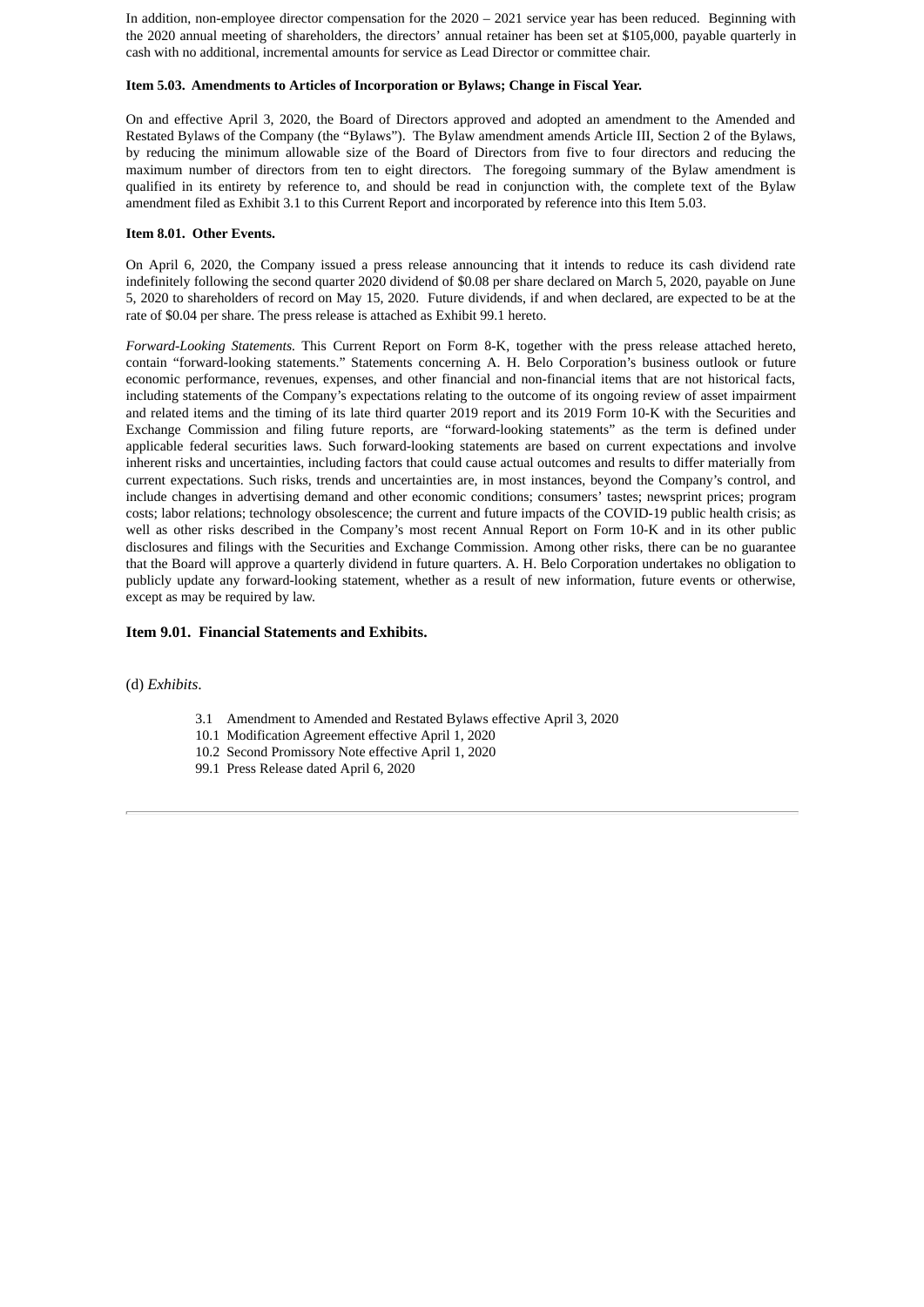In addition, non-employee director compensation for the 2020 – 2021 service year has been reduced. Beginning with the 2020 annual meeting of shareholders, the directors' annual retainer has been set at \$105,000, payable quarterly in cash with no additional, incremental amounts for service as Lead Director or committee chair.

#### **Item 5.03. Amendments to Articles of Incorporation or Bylaws; Change in Fiscal Year.**

On and effective April 3, 2020, the Board of Directors approved and adopted an amendment to the Amended and Restated Bylaws of the Company (the "Bylaws"). The Bylaw amendment amends Article III, Section 2 of the Bylaws, by reducing the minimum allowable size of the Board of Directors from five to four directors and reducing the maximum number of directors from ten to eight directors. The foregoing summary of the Bylaw amendment is qualified in its entirety by reference to, and should be read in conjunction with, the complete text of the Bylaw amendment filed as Exhibit 3.1 to this Current Report and incorporated by reference into this Item 5.03.

#### **Item 8.01. Other Events.**

On April 6, 2020, the Company issued a press release announcing that it intends to reduce its cash dividend rate indefinitely following the second quarter 2020 dividend of \$0.08 per share declared on March 5, 2020, payable on June 5, 2020 to shareholders of record on May 15, 2020. Future dividends, if and when declared, are expected to be at the rate of \$0.04 per share. The press release is attached as Exhibit 99.1 hereto.

*Forward-Looking Statements.* This Current Report on Form 8-K, together with the press release attached hereto, contain "forward-looking statements." Statements concerning A. H. Belo Corporation's business outlook or future economic performance, revenues, expenses, and other financial and non-financial items that are not historical facts, including statements of the Company's expectations relating to the outcome of its ongoing review of asset impairment and related items and the timing of its late third quarter 2019 report and its 2019 Form 10-K with the Securities and Exchange Commission and filing future reports, are "forward-looking statements" as the term is defined under applicable federal securities laws. Such forward-looking statements are based on current expectations and involve inherent risks and uncertainties, including factors that could cause actual outcomes and results to differ materially from current expectations. Such risks, trends and uncertainties are, in most instances, beyond the Company's control, and include changes in advertising demand and other economic conditions; consumers' tastes; newsprint prices; program costs; labor relations; technology obsolescence; the current and future impacts of the COVID-19 public health crisis; as well as other risks described in the Company's most recent Annual Report on Form 10-K and in its other public disclosures and filings with the Securities and Exchange Commission. Among other risks, there can be no guarantee that the Board will approve a quarterly dividend in future quarters. A. H. Belo Corporation undertakes no obligation to publicly update any forward-looking statement, whether as a result of new information, future events or otherwise, except as may be required by law.

#### **Item 9.01. Financial Statements and Exhibits.**

(d) *Exhibits*.

- 3.1 Amendment to Amended and Restated Bylaws effective April 3, 2020
- 10.1 Modification Agreement effective April 1, 2020
- 10.2 Second Promissory Note effective April 1, 2020
- 99.1 Press Release dated April 6, 2020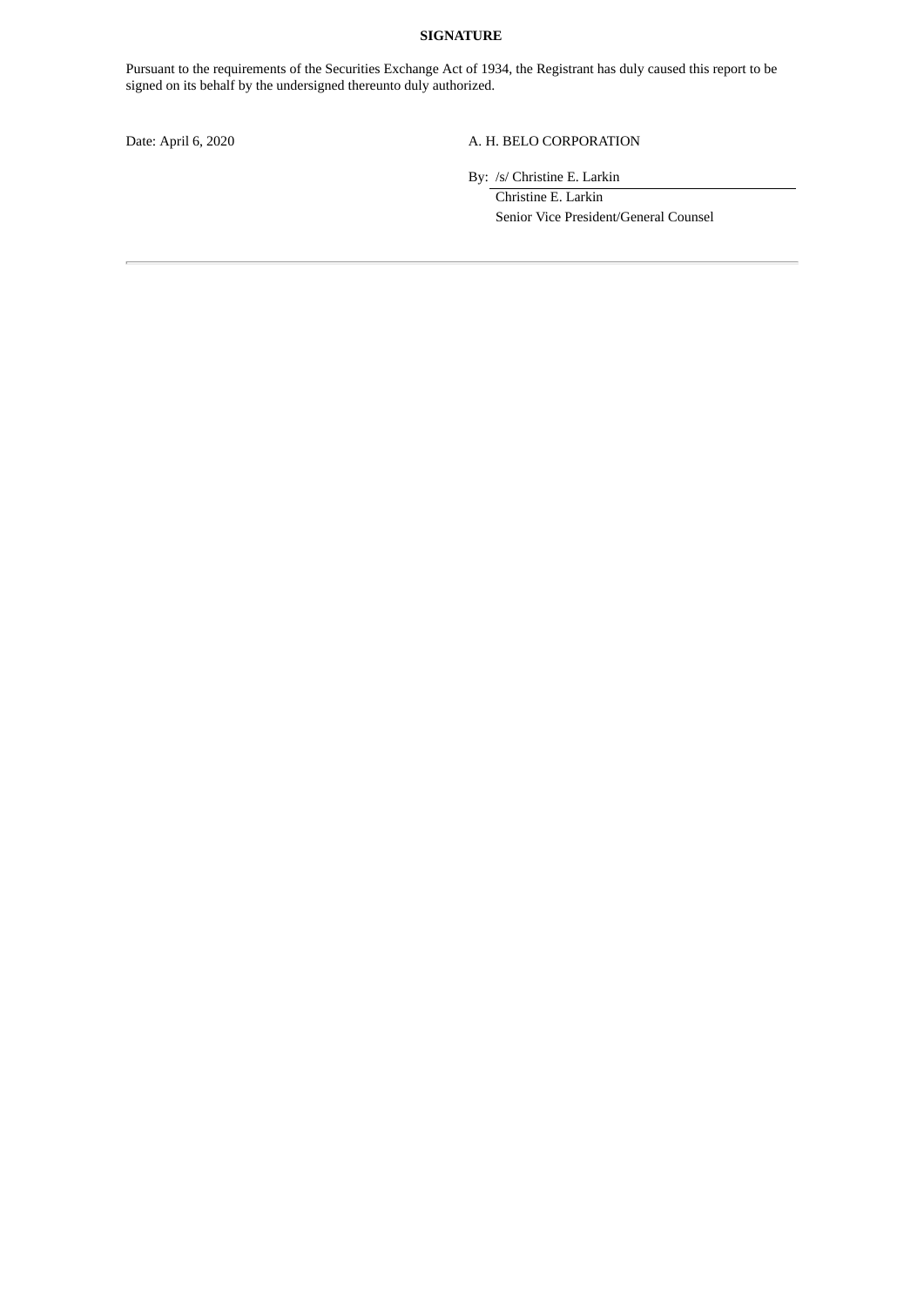#### **SIGNATURE**

Pursuant to the requirements of the Securities Exchange Act of 1934, the Registrant has duly caused this report to be signed on its behalf by the undersigned thereunto duly authorized.

# Date: April 6, 2020 A. H. BELO CORPORATION

By: /s/ Christine E. Larkin

Christine E. Larkin Senior Vice President/General Counsel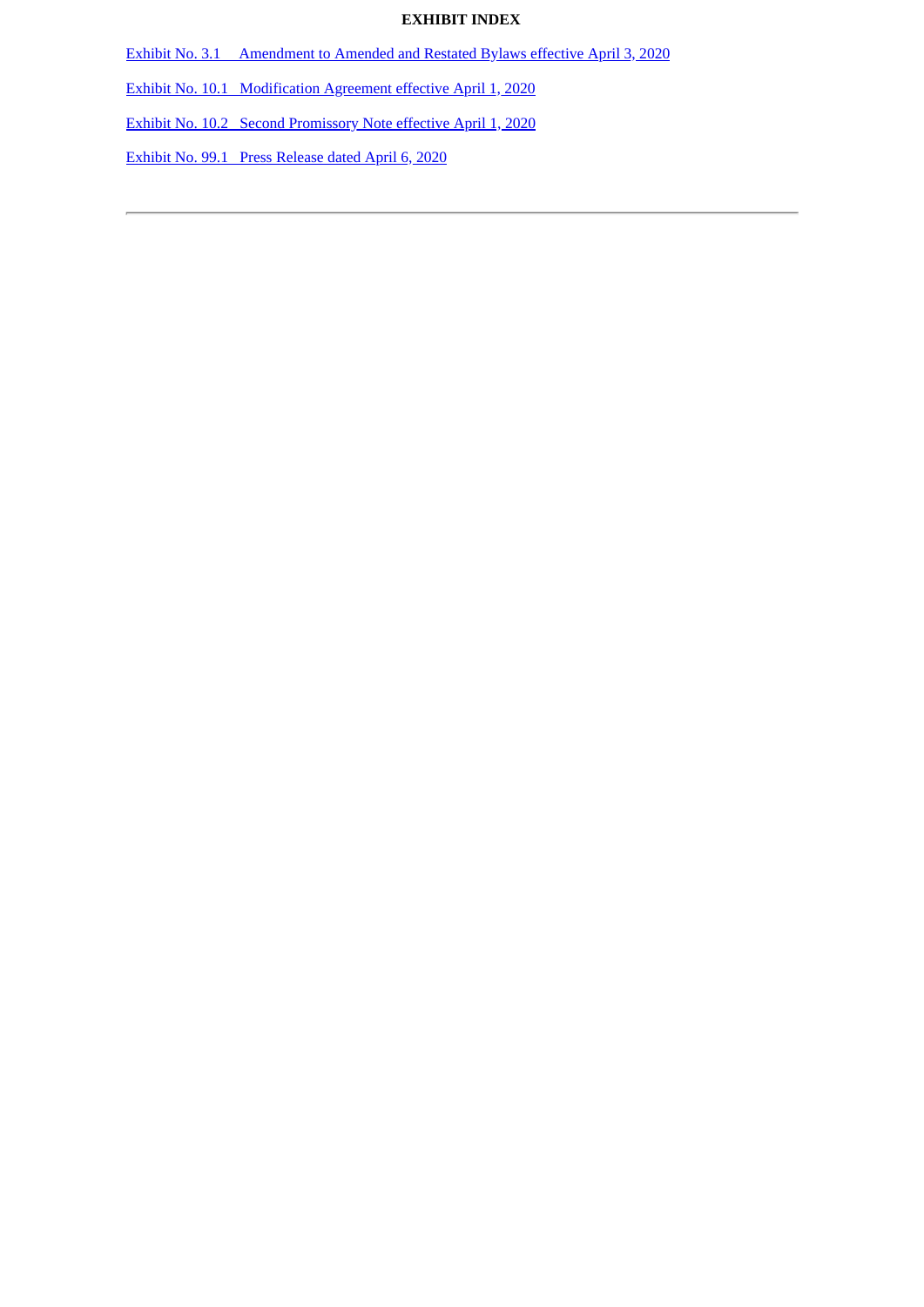# **EXHIBIT INDEX**

Exhibit No. 3.1 [Amendment](#page-5-0) to Amended and Restated Bylaws effective April 3, 2020

Exhibit No. 10.1 [Modification](#page-6-0) Agreement effective April 1, 2020

Exhibit No. 10.2 Second [Promissory](#page-15-0) Note effective April 1, 2020

Exhibit No. 99.1 Press [Release](#page-20-0) dated April 6, 2020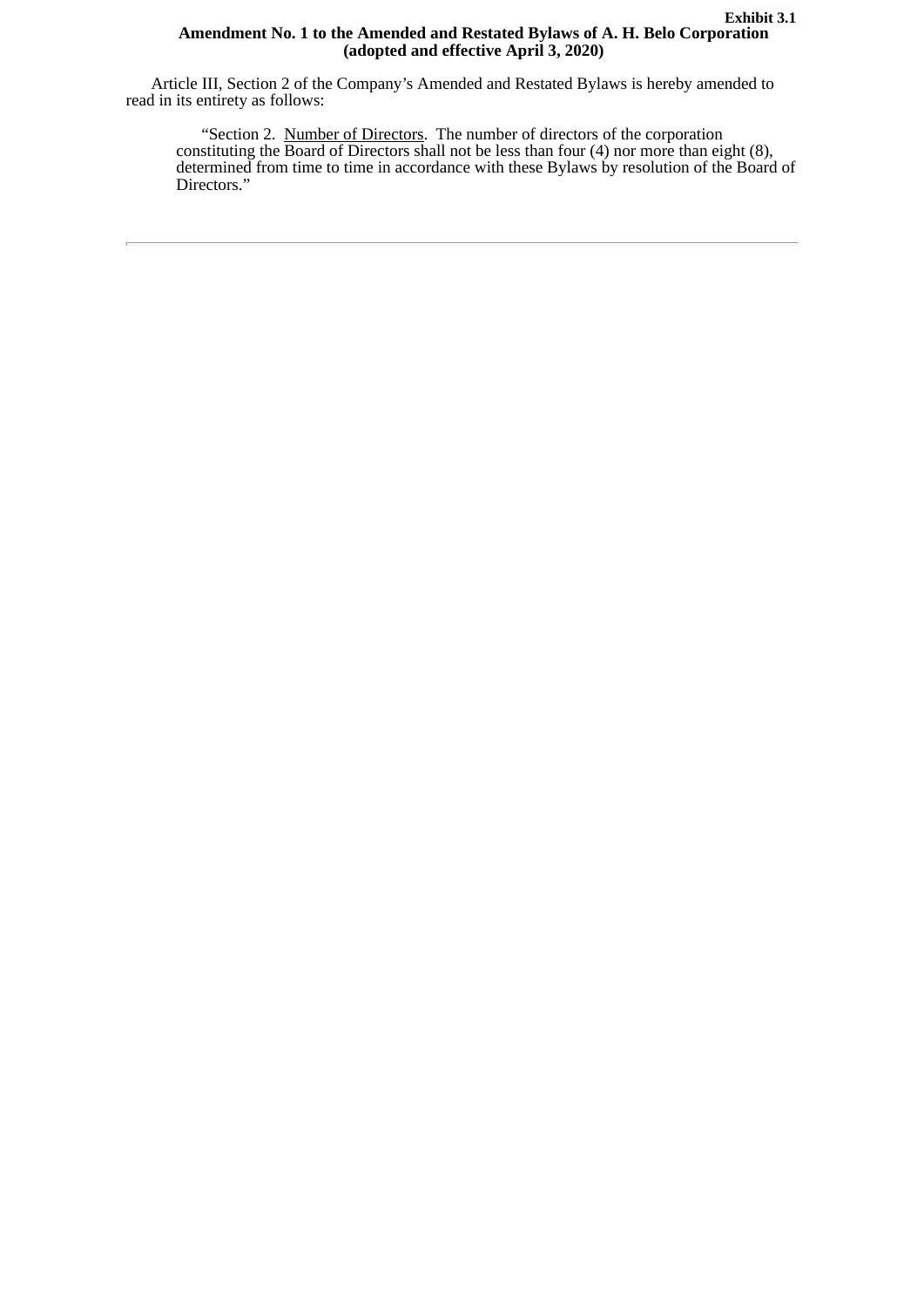#### **Exhibit 3.1 Amendment No. 1 to the Amended and Restated Bylaws of A. H. Belo Corporation (adopted and effective April 3, 2020)**

<span id="page-5-0"></span>Article III, Section 2 of the Company's Amended and Restated Bylaws is hereby amended to read in its entirety as follows:

"Section 2. Number of Directors. The number of directors of the corporation constituting the Board of Directors shall not be less than four (4) nor more than eight (8), determined from time to time in accordance with these Bylaws by resolution of the Board of Directors."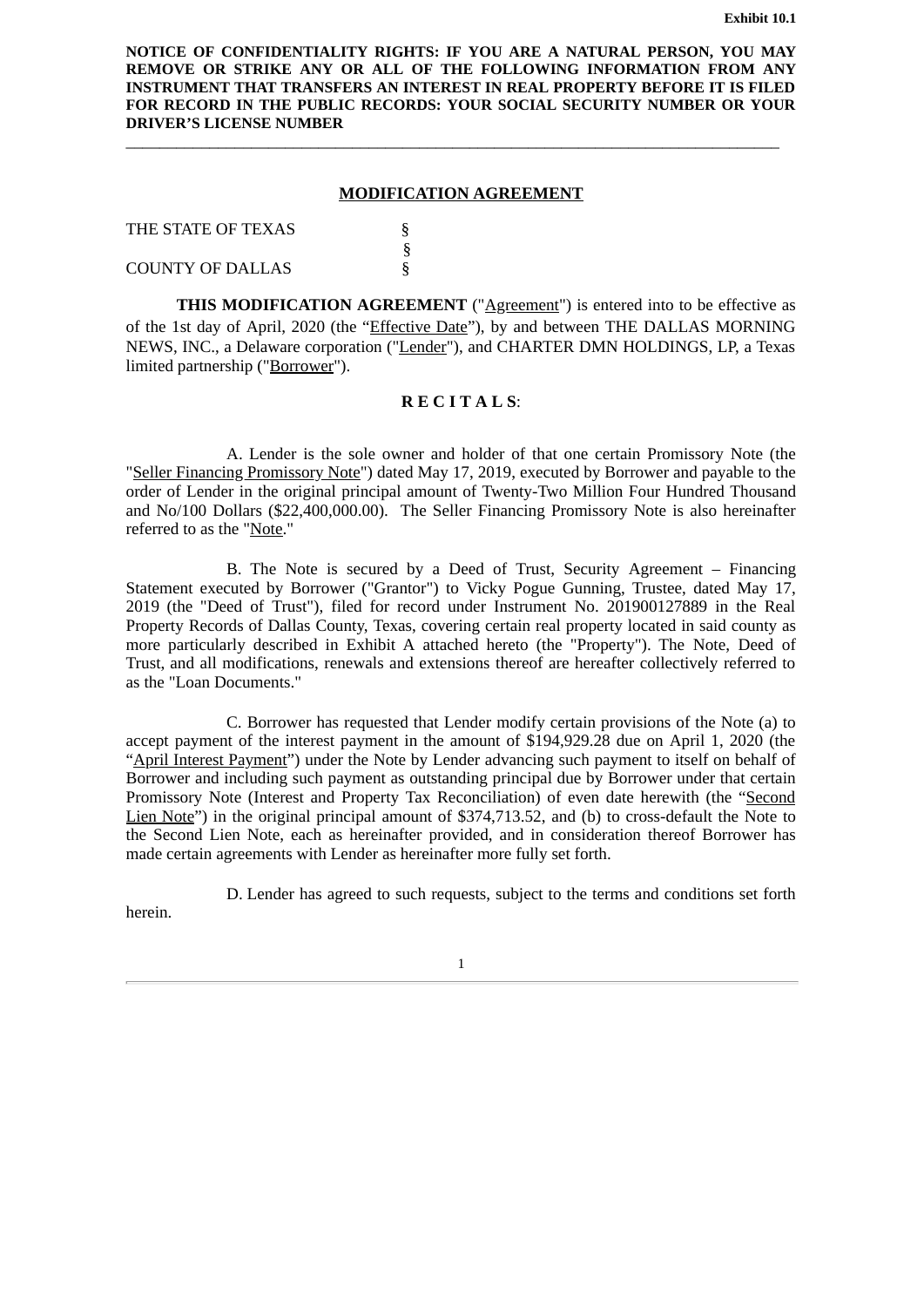<span id="page-6-0"></span>**NOTICE OF CONFIDENTIALITY RIGHTS: IF YOU ARE A NATURAL PERSON, YOU MAY REMOVE OR STRIKE ANY OR ALL OF THE FOLLOWING INFORMATION FROM ANY INSTRUMENT THAT TRANSFERS AN INTEREST IN REAL PROPERTY BEFORE IT IS FILED FOR RECORD IN THE PUBLIC RECORDS: YOUR SOCIAL SECURITY NUMBER OR YOUR DRIVER'S LICENSE NUMBER**

#### **MODIFICATION AGREEMENT**

§

\_\_\_\_\_\_\_\_\_\_\_\_\_\_\_\_\_\_\_\_\_\_\_\_\_\_\_\_\_\_\_\_\_\_\_\_\_\_\_\_\_\_\_\_\_\_\_\_\_\_\_\_\_\_\_\_\_\_\_\_\_\_\_\_\_\_\_\_\_\_\_\_\_\_\_\_\_\_

THE STATE OF TEXAS  $\S$ 

COUNTY OF DALLAS

**THIS MODIFICATION AGREEMENT** ("Agreement") is entered into to be effective as of the 1st day of April, 2020 (the "*Effective Date*"), by and between THE DALLAS MORNING NEWS, INC., a Delaware corporation ("Lender"), and CHARTER DMN HOLDINGS, LP, a Texas limited partnership("Borrower").

# **R E C I T A L S**:

A. Lender is the sole owner and holder of that one certain Promissory Note (the "Seller Financing Promissory Note") dated May 17, 2019, executed by Borrower and payable to the order of Lender in the original principal amount of Twenty-Two Million Four Hundred Thousand and No/100 Dollars (\$22,400,000.00). The Seller Financing Promissory Note is also hereinafter referred to as the "Note."

B. The Note is secured by a Deed of Trust, Security Agreement – Financing Statement executed by Borrower ("Grantor") to Vicky Pogue Gunning, Trustee, dated May 17, 2019 (the "Deed of Trust"), filed for record under Instrument No. 201900127889 in the Real Property Records of Dallas County, Texas, covering certain real property located in said county as more particularly described in Exhibit A attached hereto (the "Property"). The Note, Deed of Trust, and all modifications, renewals and extensions thereof are hereafter collectively referred to as the "Loan Documents."

C. Borrower has requested that Lender modify certain provisions of the Note (a) to accept payment of the interest payment in the amount of \$194,929.28 due on April 1, 2020 (the "April Interest Payment") under the Note by Lender advancing such payment to itself on behalf of Borrower and including such payment as outstanding principal due by Borrower under that certain Promissory Note (Interest and Property Tax Reconciliation) of even date herewith (the "Second Lien Note") in the original principal amount of \$374,713.52, and (b) to cross-default the Note to the Second Lien Note, each as hereinafter provided, and in consideration thereof Borrower has made certain agreements with Lender as hereinafter more fully set forth.

D. Lender has agreed to such requests, subject to the terms and conditions set forth

herein.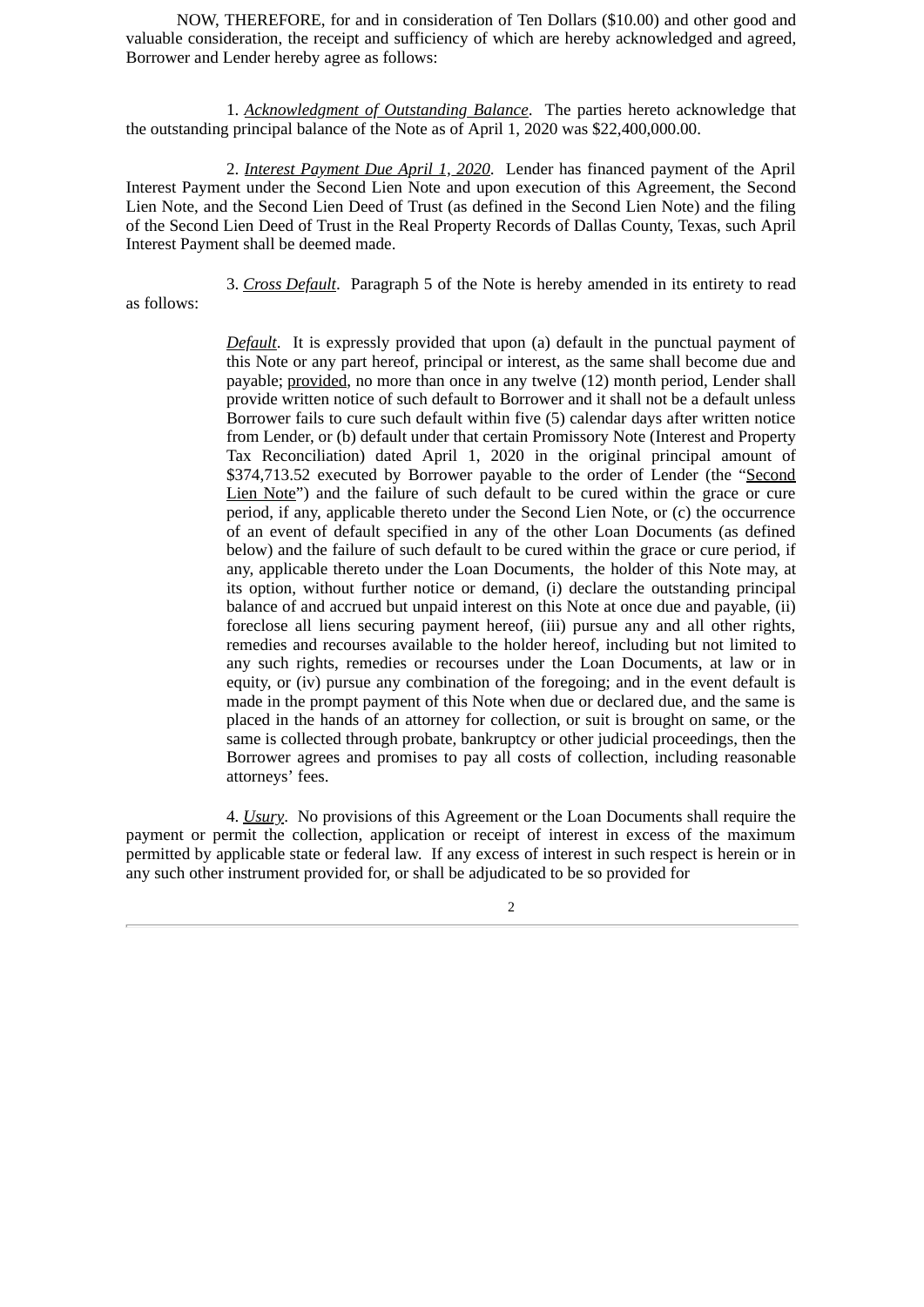NOW, THEREFORE, for and in consideration of Ten Dollars (\$10.00) and other good and valuable consideration, the receipt and sufficiency of which are hereby acknowledged and agreed, Borrower and Lender hereby agree as follows:

1. *Acknowledgment of Outstanding Balance*. The parties hereto acknowledge that the outstanding principal balance of the Note as of April 1, 2020 was \$22,400,000.00.

2. *Interest Payment Due April 1, 2020*. Lender has financed payment of the April Interest Payment under the Second Lien Note and upon execution of this Agreement, the Second Lien Note, and the Second Lien Deed of Trust (as defined in the Second Lien Note) and the filing of the Second Lien Deed of Trust in the Real Property Records of Dallas County, Texas, such April Interest Payment shall be deemed made.

as follows:

3. *Cross Default*. Paragraph 5 of the Note is hereby amended in its entirety to read

*Default*. It is expressly provided that upon (a) default in the punctual payment of this Note or any part hereof, principal or interest, as the same shall become due and payable; provided, no more than once in any twelve (12) month period, Lender shall provide written notice of such default to Borrower and it shall not be a default unless Borrower fails to cure such default within five (5) calendar days after written notice from Lender, or (b) default under that certain Promissory Note (Interest and Property Tax Reconciliation) dated April 1, 2020 in the original principal amount of \$374,713.52 executed by Borrower payable to the order of Lender (the "Second Lien Note") and the failure of such default to be cured within the grace or cure period, if any, applicable thereto under the Second Lien Note, or (c) the occurrence of an event of default specified in any of the other Loan Documents (as defined below) and the failure of such default to be cured within the grace or cure period, if any, applicable thereto under the Loan Documents, the holder of this Note may, at its option, without further notice or demand, (i) declare the outstanding principal balance of and accrued but unpaid interest on this Note at once due and payable, (ii) foreclose all liens securing payment hereof, (iii) pursue any and all other rights, remedies and recourses available to the holder hereof, including but not limited to any such rights, remedies or recourses under the Loan Documents, at law or in equity, or (iv) pursue any combination of the foregoing; and in the event default is made in the prompt payment of this Note when due or declared due, and the same is placed in the hands of an attorney for collection, or suit is brought on same, or the same is collected through probate, bankruptcy or other judicial proceedings, then the Borrower agrees and promises to pay all costs of collection, including reasonable attorneys' fees.

4. *Usury*. No provisions of this Agreement or the Loan Documents shall require the payment or permit the collection, application or receipt of interest in excess of the maximum permitted by applicable state or federal law. If any excess of interest in such respect is herein or in any such other instrument provided for, or shall be adjudicated to be so provided for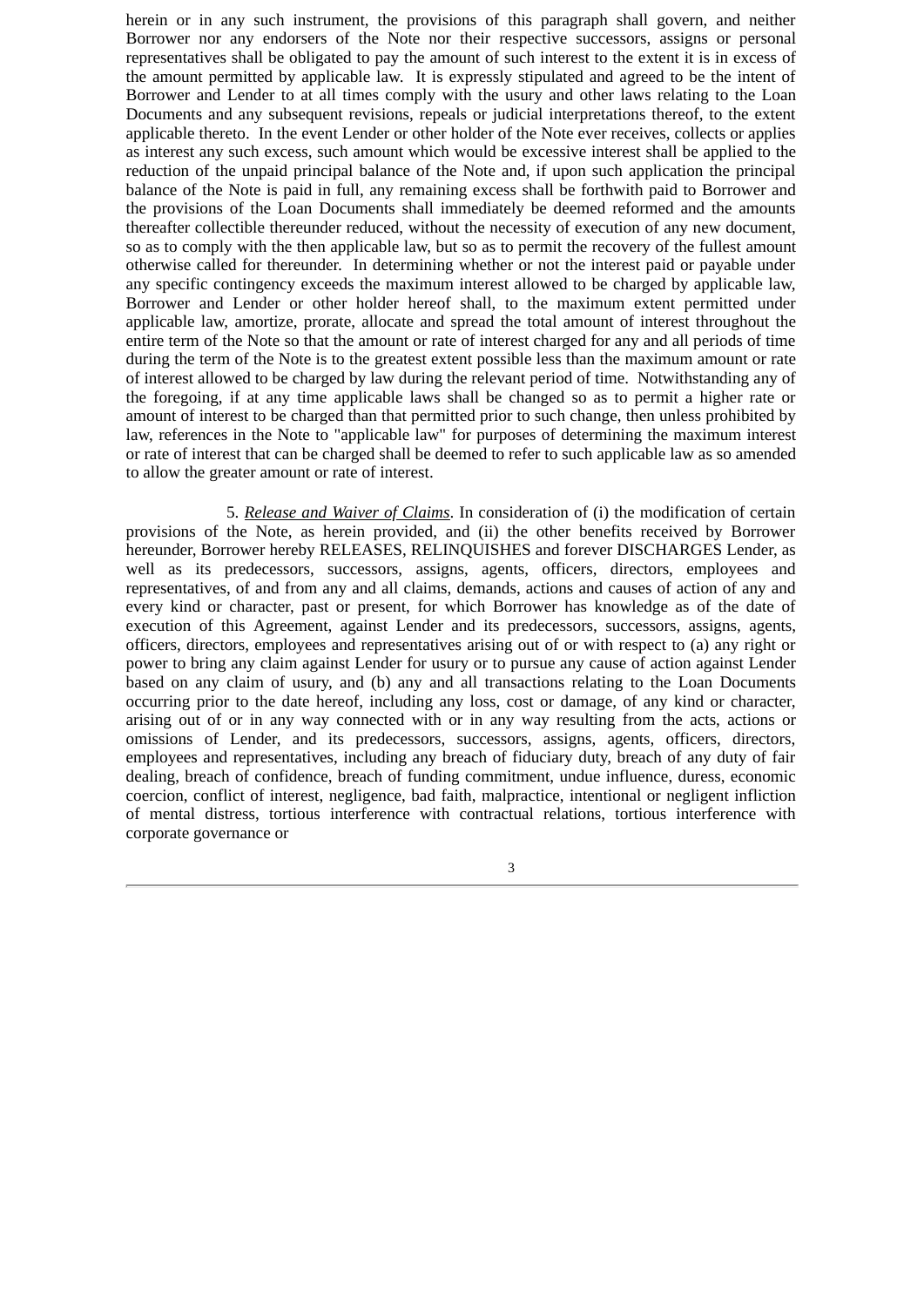herein or in any such instrument, the provisions of this paragraph shall govern, and neither Borrower nor any endorsers of the Note nor their respective successors, assigns or personal representatives shall be obligated to pay the amount of such interest to the extent it is in excess of the amount permitted by applicable law. It is expressly stipulated and agreed to be the intent of Borrower and Lender to at all times comply with the usury and other laws relating to the Loan Documents and any subsequent revisions, repeals or judicial interpretations thereof, to the extent applicable thereto. In the event Lender or other holder of the Note ever receives, collects or applies as interest any such excess, such amount which would be excessive interest shall be applied to the reduction of the unpaid principal balance of the Note and, if upon such application the principal balance of the Note is paid in full, any remaining excess shall be forthwith paid to Borrower and the provisions of the Loan Documents shall immediately be deemed reformed and the amounts thereafter collectible thereunder reduced, without the necessity of execution of any new document, so as to comply with the then applicable law, but so as to permit the recovery of the fullest amount otherwise called for thereunder. In determining whether or not the interest paid or payable under any specific contingency exceeds the maximum interest allowed to be charged by applicable law, Borrower and Lender or other holder hereof shall, to the maximum extent permitted under applicable law, amortize, prorate, allocate and spread the total amount of interest throughout the entire term of the Note so that the amount or rate of interest charged for any and all periods of time during the term of the Note is to the greatest extent possible less than the maximum amount or rate of interest allowed to be charged by law during the relevant period of time. Notwithstanding any of the foregoing, if at any time applicable laws shall be changed so as to permit a higher rate or amount of interest to be charged than that permitted prior to such change, then unless prohibited by law, references in the Note to "applicable law" for purposes of determining the maximum interest or rate of interest that can be charged shall be deemed to refer to such applicable law as so amended to allow the greater amount or rate of interest.

5. *Release and Waiver of Claims*. In consideration of (i) the modification of certain provisions of the Note, as herein provided, and (ii) the other benefits received by Borrower hereunder, Borrower hereby RELEASES, RELINQUISHES and forever DISCHARGES Lender, as well as its predecessors, successors, assigns, agents, officers, directors, employees and representatives, of and from any and all claims, demands, actions and causes of action of any and every kind or character, past or present, for which Borrower has knowledge as of the date of execution of this Agreement, against Lender and its predecessors, successors, assigns, agents, officers, directors, employees and representatives arising out of or with respect to (a) any right or power to bring any claim against Lender for usury or to pursue any cause of action against Lender based on any claim of usury, and (b) any and all transactions relating to the Loan Documents occurring prior to the date hereof, including any loss, cost or damage, of any kind or character, arising out of or in any way connected with or in any way resulting from the acts, actions or omissions of Lender, and its predecessors, successors, assigns, agents, officers, directors, employees and representatives, including any breach of fiduciary duty, breach of any duty of fair dealing, breach of confidence, breach of funding commitment, undue influence, duress, economic coercion, conflict of interest, negligence, bad faith, malpractice, intentional or negligent infliction of mental distress, tortious interference with contractual relations, tortious interference with corporate governance or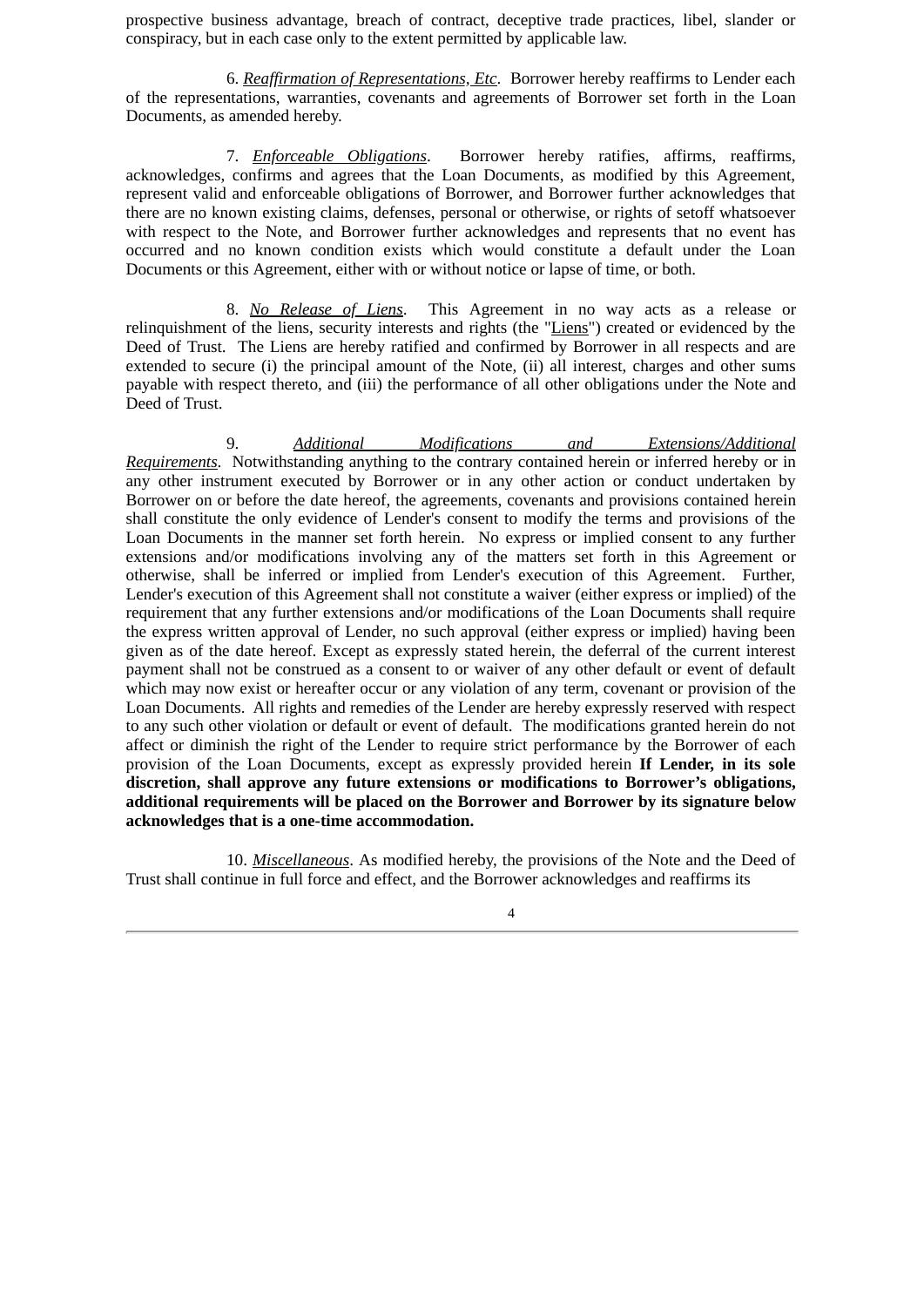prospective business advantage, breach of contract, deceptive trade practices, libel, slander or conspiracy, but in each case only to the extent permitted by applicable law.

6. *Reaffirmation of Representations, Etc*. Borrower hereby reaffirms to Lender each of the representations, warranties, covenants and agreements of Borrower set forth in the Loan Documents, as amended hereby.

7. *Enforceable Obligations*. Borrower hereby ratifies, affirms, reaffirms, acknowledges, confirms and agrees that the Loan Documents, as modified by this Agreement, represent valid and enforceable obligations of Borrower, and Borrower further acknowledges that there are no known existing claims, defenses, personal or otherwise, or rights of setoff whatsoever with respect to the Note, and Borrower further acknowledges and represents that no event has occurred and no known condition exists which would constitute a default under the Loan Documents or this Agreement, either with or without notice or lapse of time, or both.

8. *No Release of Liens*. This Agreement in no way acts as a release or relinquishment of the liens, security interests and rights (the "Liens") created or evidenced by the Deed of Trust. The Liens are hereby ratified and confirmed by Borrower in all respects and are extended to secure (i) the principal amount of the Note, (ii) all interest, charges and other sums payable with respect thereto, and (iii) the performance of all other obligations under the Note and Deed of Trust.

9. *Additional Modifications and Extensions/Additional Requirements*. Notwithstanding anything to the contrary contained herein or inferred hereby or in any other instrument executed by Borrower or in any other action or conduct undertaken by Borrower on or before the date hereof, the agreements, covenants and provisions contained herein shall constitute the only evidence of Lender's consent to modify the terms and provisions of the Loan Documents in the manner set forth herein. No express or implied consent to any further extensions and/or modifications involving any of the matters set forth in this Agreement or otherwise, shall be inferred or implied from Lender's execution of this Agreement. Further, Lender's execution of this Agreement shall not constitute a waiver (either express or implied) of the requirement that any further extensions and/or modifications of the Loan Documents shall require the express written approval of Lender, no such approval (either express or implied) having been given as of the date hereof. Except as expressly stated herein, the deferral of the current interest payment shall not be construed as a consent to or waiver of any other default or event of default which may now exist or hereafter occur or any violation of any term, covenant or provision of the Loan Documents. All rights and remedies of the Lender are hereby expressly reserved with respect to any such other violation or default or event of default. The modifications granted herein do not affect or diminish the right of the Lender to require strict performance by the Borrower of each provision of the Loan Documents, except as expressly provided herein **If Lender, in its sole discretion, shall approve any future extensions or modifications to Borrower's obligations, additional requirements will be placed on the Borrower and Borrower by its signature below acknowledges that is a one-time accommodation.**

10. *Miscellaneous*. As modified hereby, the provisions of the Note and the Deed of Trust shall continue in full force and effect, and the Borrower acknowledges and reaffirms its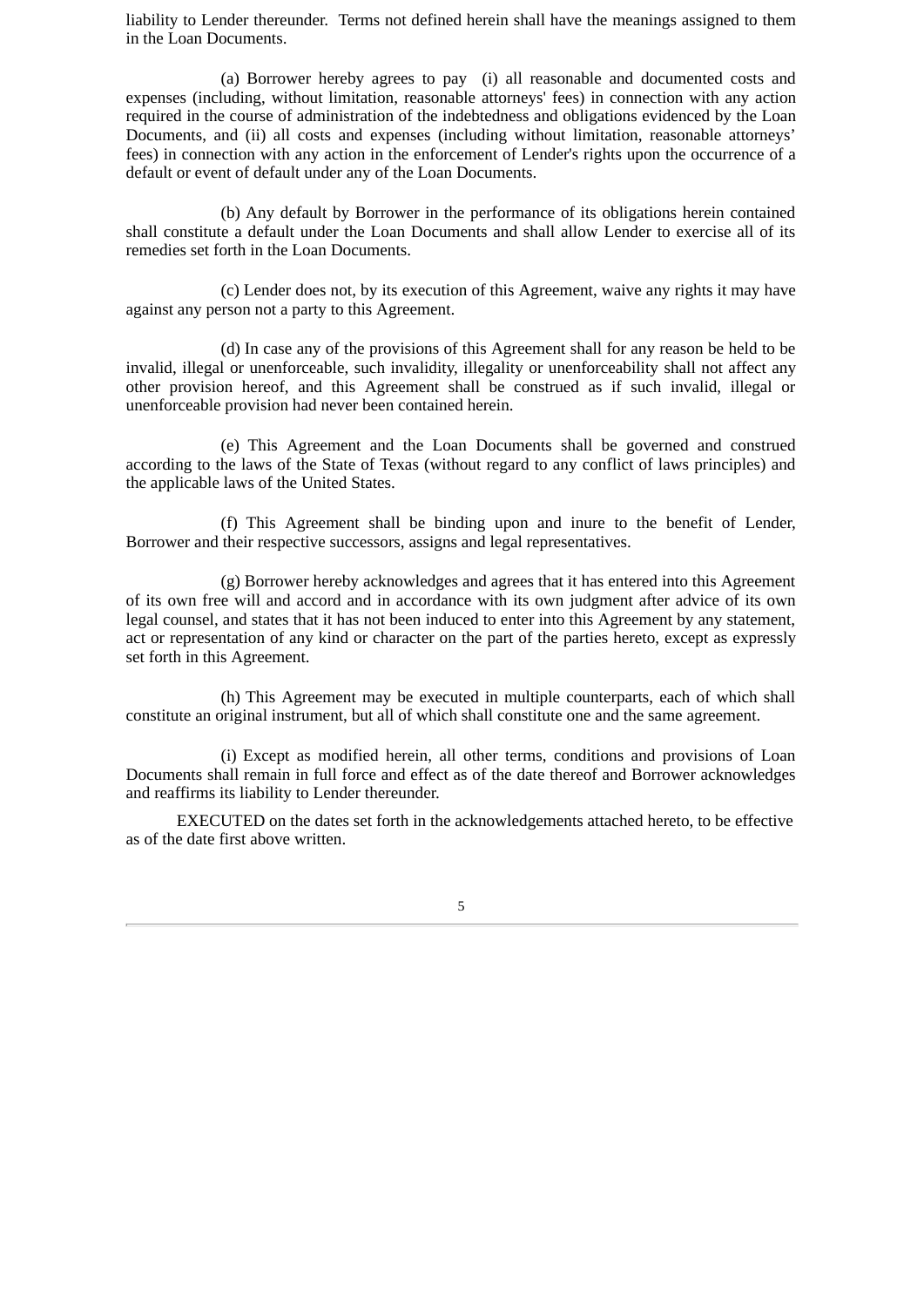liability to Lender thereunder. Terms not defined herein shall have the meanings assigned to them in the Loan Documents.

(a) Borrower hereby agrees to pay (i) all reasonable and documented costs and expenses (including, without limitation, reasonable attorneys' fees) in connection with any action required in the course of administration of the indebtedness and obligations evidenced by the Loan Documents, and (ii) all costs and expenses (including without limitation, reasonable attorneys' fees) in connection with any action in the enforcement of Lender's rights upon the occurrence of a default or event of default under any of the Loan Documents.

(b) Any default by Borrower in the performance of its obligations herein contained shall constitute a default under the Loan Documents and shall allow Lender to exercise all of its remedies set forth in the Loan Documents.

(c) Lender does not, by its execution of this Agreement, waive any rights it may have against any person not a party to this Agreement.

(d) In case any of the provisions of this Agreement shall for any reason be held to be invalid, illegal or unenforceable, such invalidity, illegality or unenforceability shall not affect any other provision hereof, and this Agreement shall be construed as if such invalid, illegal or unenforceable provision had never been contained herein.

(e) This Agreement and the Loan Documents shall be governed and construed according to the laws of the State of Texas (without regard to any conflict of laws principles) and the applicable laws of the United States.

(f) This Agreement shall be binding upon and inure to the benefit of Lender, Borrower and their respective successors, assigns and legal representatives.

(g) Borrower hereby acknowledges and agrees that it has entered into this Agreement of its own free will and accord and in accordance with its own judgment after advice of its own legal counsel, and states that it has not been induced to enter into this Agreement by any statement, act or representation of any kind or character on the part of the parties hereto, except as expressly set forth in this Agreement.

(h) This Agreement may be executed in multiple counterparts, each of which shall constitute an original instrument, but all of which shall constitute one and the same agreement.

(i) Except as modified herein, all other terms, conditions and provisions of Loan Documents shall remain in full force and effect as of the date thereof and Borrower acknowledges and reaffirms its liability to Lender thereunder.

EXECUTED on the dates set forth in the acknowledgements attached hereto, to be effective as of the date first above written.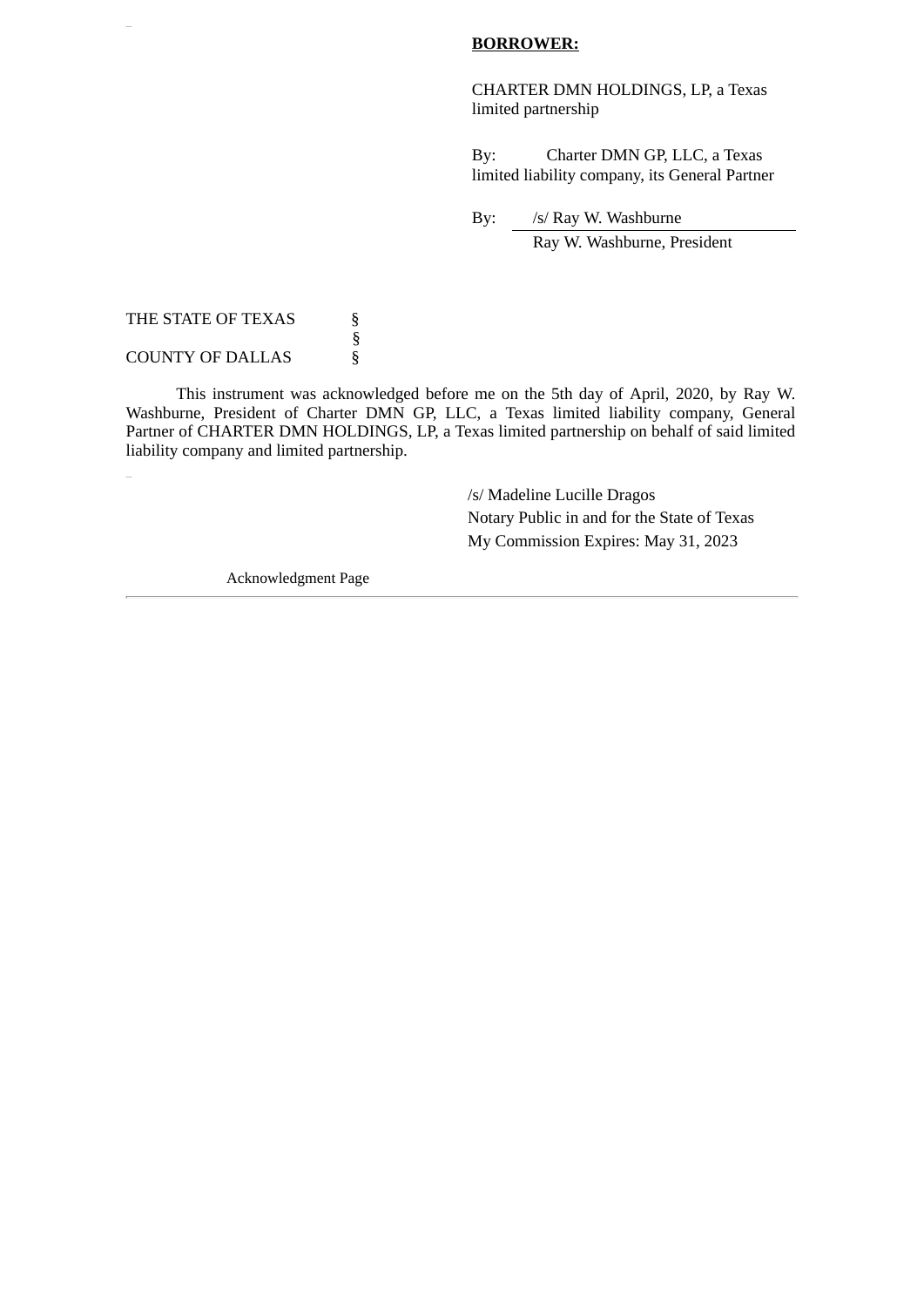# **BORROWER:**

CHARTER DMN HOLDINGS, LP, a Texas limited partnership

By: Charter DMN GP, LLC, a Texas limited liability company, its General Partner

By: /s/ Ray W. Washburne Ray W. Washburne, President

THE STATE OF TEXAS  $\S$  § **COUNTY OF DALLAS** 

This instrument was acknowledged before me on the 5th day of April, 2020, by Ray W. Washburne, President of Charter DMN GP, LLC, a Texas limited liability company, General Partner of CHARTER DMN HOLDINGS, LP, a Texas limited partnership on behalf of said limited liability company and limited partnership.

> /s/ Madeline Lucille Dragos Notary Public in and for the State of Texas My Commission Expires: May 31, 2023

Acknowledgment Page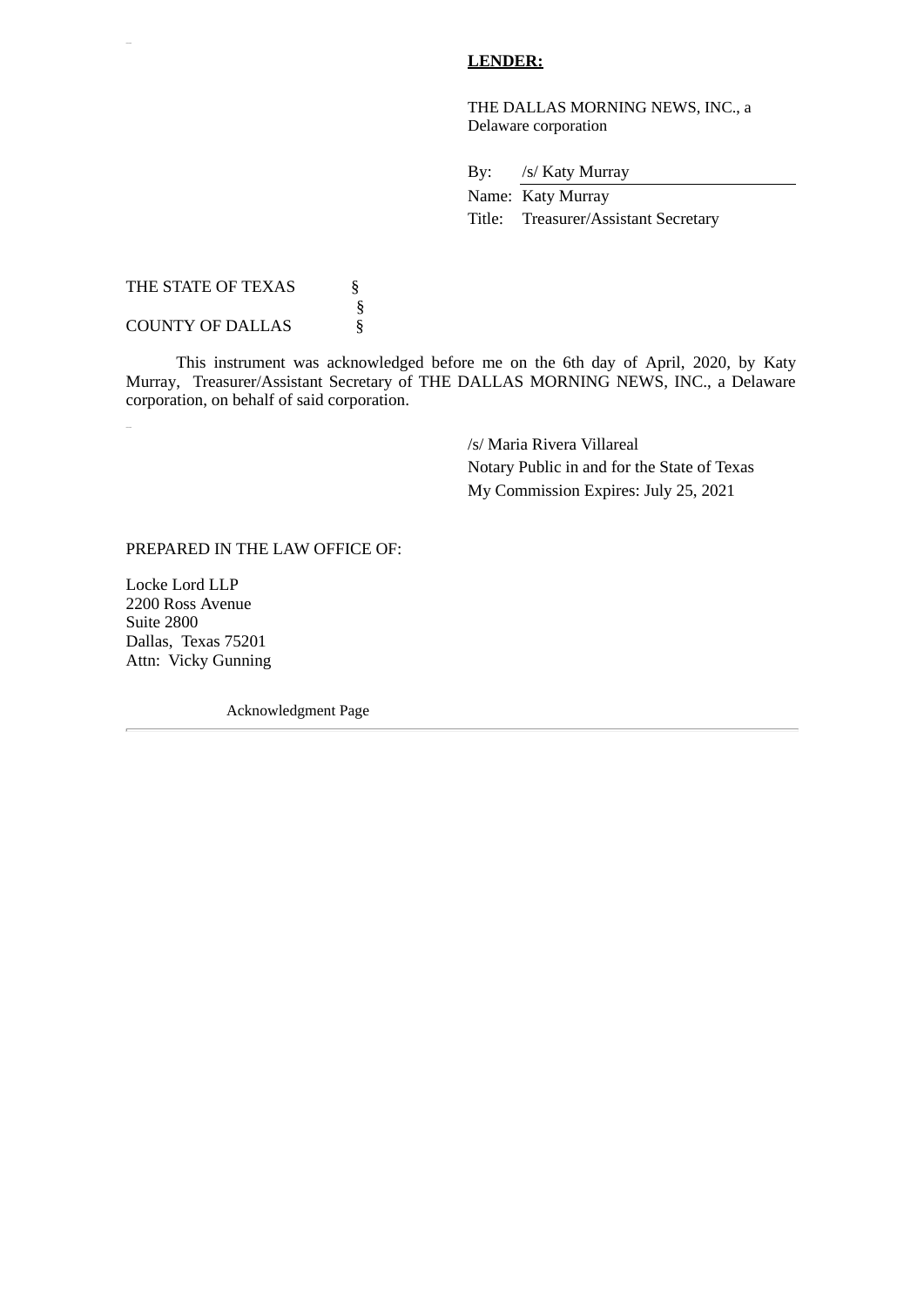# **LENDER:**

THE DALLAS MORNING NEWS, INC., a Delaware corporation

By: /s/ Katy Murray

Name: Katy Murray Title: Treasurer/Assistant Secretary

THE STATE OF TEXAS  $§$  § **COUNTY OF DALLAS** 

This instrument was acknowledged before me on the 6th day of April, 2020, by Katy Murray, Treasurer/Assistant Secretary of THE DALLAS MORNING NEWS, INC., a Delaware corporation, on behalf of said corporation.

> /s/ Maria Rivera Villareal Notary Public in and for the State of Texas My Commission Expires: July 25, 2021

PREPARED IN THE LAW OFFICE OF:

Locke Lord LLP 2200 Ross Avenue Suite 2800 Dallas, Texas 75201 Attn: Vicky Gunning

Acknowledgment Page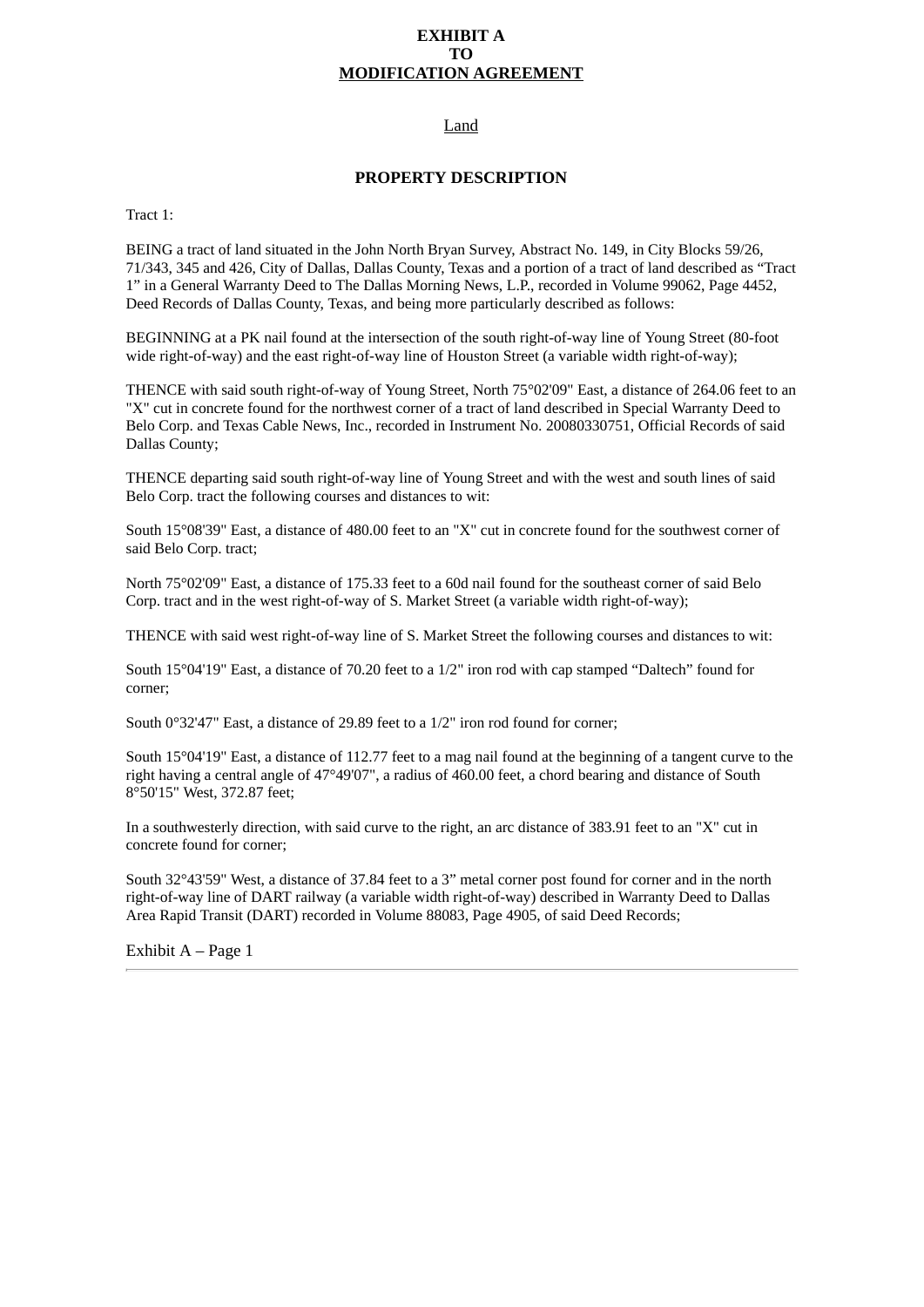# **EXHIBIT A TO MODIFICATION AGREEMENT**

# Land

### **PROPERTY DESCRIPTION**

Tract 1:

BEING a tract of land situated in the John North Bryan Survey, Abstract No. 149, in City Blocks 59/26, 71/343, 345 and 426, City of Dallas, Dallas County, Texas and a portion of a tract of land described as "Tract 1" in a General Warranty Deed to The Dallas Morning News, L.P., recorded in Volume 99062, Page 4452, Deed Records of Dallas County, Texas, and being more particularly described as follows:

BEGINNING at a PK nail found at the intersection of the south right-of-way line of Young Street (80-foot wide right-of-way) and the east right-of-way line of Houston Street (a variable width right-of-way);

THENCE with said south right-of-way of Young Street, North 75°02'09" East, a distance of 264.06 feet to an "X" cut in concrete found for the northwest corner of a tract of land described in Special Warranty Deed to Belo Corp. and Texas Cable News, Inc., recorded in Instrument No. 20080330751, Official Records of said Dallas County;

THENCE departing said south right-of-way line of Young Street and with the west and south lines of said Belo Corp. tract the following courses and distances to wit:

South 15°08'39" East, a distance of 480.00 feet to an "X" cut in concrete found for the southwest corner of said Belo Corp. tract;

North 75°02'09" East, a distance of 175.33 feet to a 60d nail found for the southeast corner of said Belo Corp. tract and in the west right-of-way of S. Market Street (a variable width right-of-way);

THENCE with said west right-of-way line of S. Market Street the following courses and distances to wit:

South 15°04'19" East, a distance of 70.20 feet to a 1/2" iron rod with cap stamped "Daltech" found for corner;

South 0°32'47" East, a distance of 29.89 feet to a 1/2" iron rod found for corner;

South 15°04'19" East, a distance of 112.77 feet to a mag nail found at the beginning of a tangent curve to the right having a central angle of 47°49'07", a radius of 460.00 feet, a chord bearing and distance of South 8°50'15" West, 372.87 feet;

In a southwesterly direction, with said curve to the right, an arc distance of 383.91 feet to an "X" cut in concrete found for corner;

South 32°43'59" West, a distance of 37.84 feet to a 3" metal corner post found for corner and in the north right-of-way line of DART railway (a variable width right-of-way) described in Warranty Deed to Dallas Area Rapid Transit (DART) recorded in Volume 88083, Page 4905, of said Deed Records;

Exhibit A – Page 1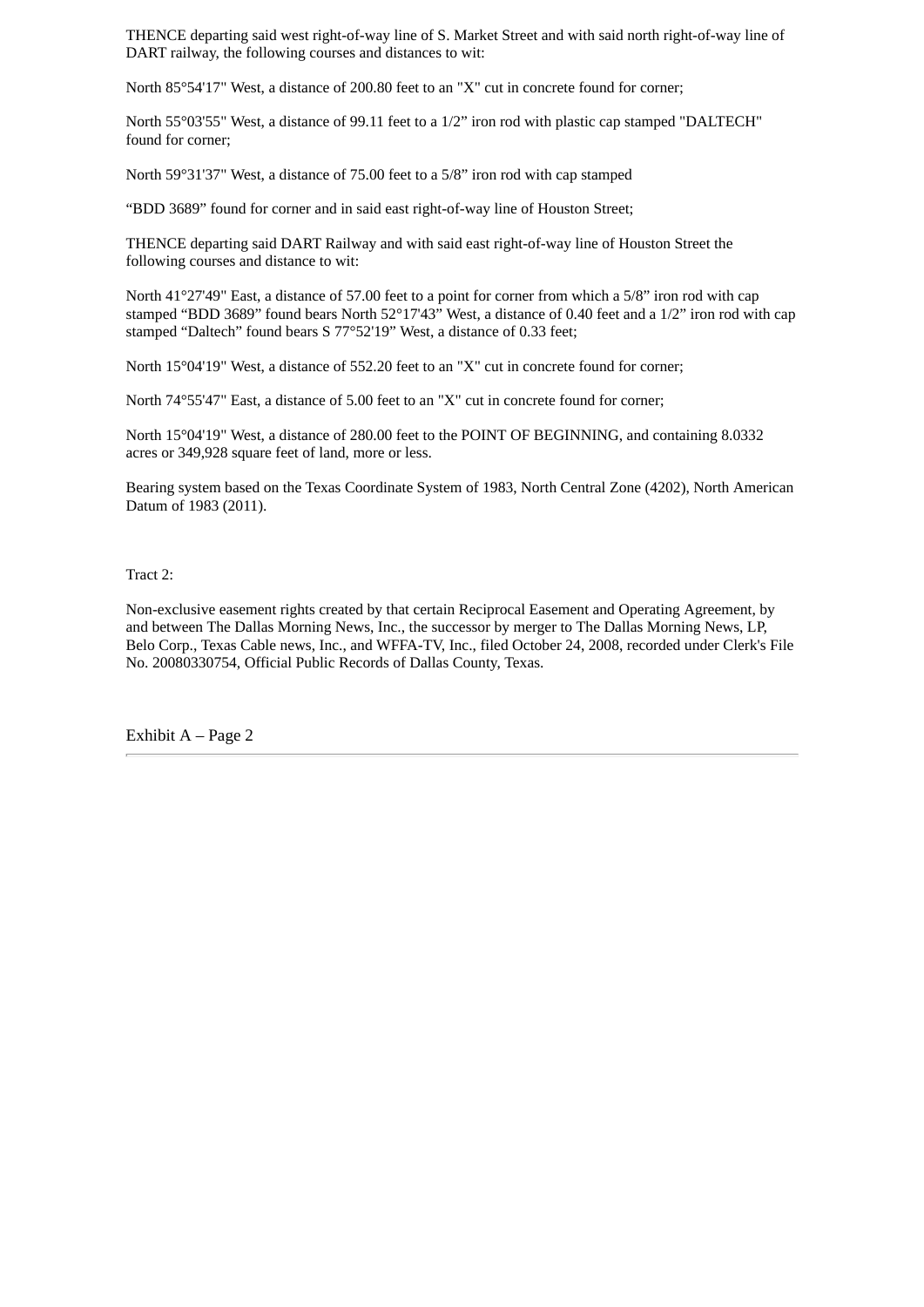THENCE departing said west right-of-way line of S. Market Street and with said north right-of-way line of DART railway, the following courses and distances to wit:

North 85°54'17" West, a distance of 200.80 feet to an "X" cut in concrete found for corner;

North 55°03'55" West, a distance of 99.11 feet to a 1/2" iron rod with plastic cap stamped "DALTECH" found for corner;

North 59°31'37" West, a distance of 75.00 feet to a 5/8" iron rod with cap stamped

"BDD 3689" found for corner and in said east right-of-way line of Houston Street;

THENCE departing said DART Railway and with said east right-of-way line of Houston Street the following courses and distance to wit:

North 41°27'49" East, a distance of 57.00 feet to a point for corner from which a 5/8" iron rod with cap stamped "BDD 3689" found bears North 52°17'43" West, a distance of 0.40 feet and a 1/2" iron rod with cap stamped "Daltech" found bears S 77°52'19" West, a distance of 0.33 feet;

North 15°04'19" West, a distance of 552.20 feet to an "X" cut in concrete found for corner;

North 74°55'47" East, a distance of 5.00 feet to an "X" cut in concrete found for corner;

North 15°04'19" West, a distance of 280.00 feet to the POINT OF BEGINNING, and containing 8.0332 acres or 349,928 square feet of land, more or less.

Bearing system based on the Texas Coordinate System of 1983, North Central Zone (4202), North American Datum of 1983 (2011).

Tract 2:

Non-exclusive easement rights created by that certain Reciprocal Easement and Operating Agreement, by and between The Dallas Morning News, Inc., the successor by merger to The Dallas Morning News, LP, Belo Corp., Texas Cable news, Inc., and WFFA-TV, Inc., filed October 24, 2008, recorded under Clerk's File No. 20080330754, Official Public Records of Dallas County, Texas.

Exhibit A – Page 2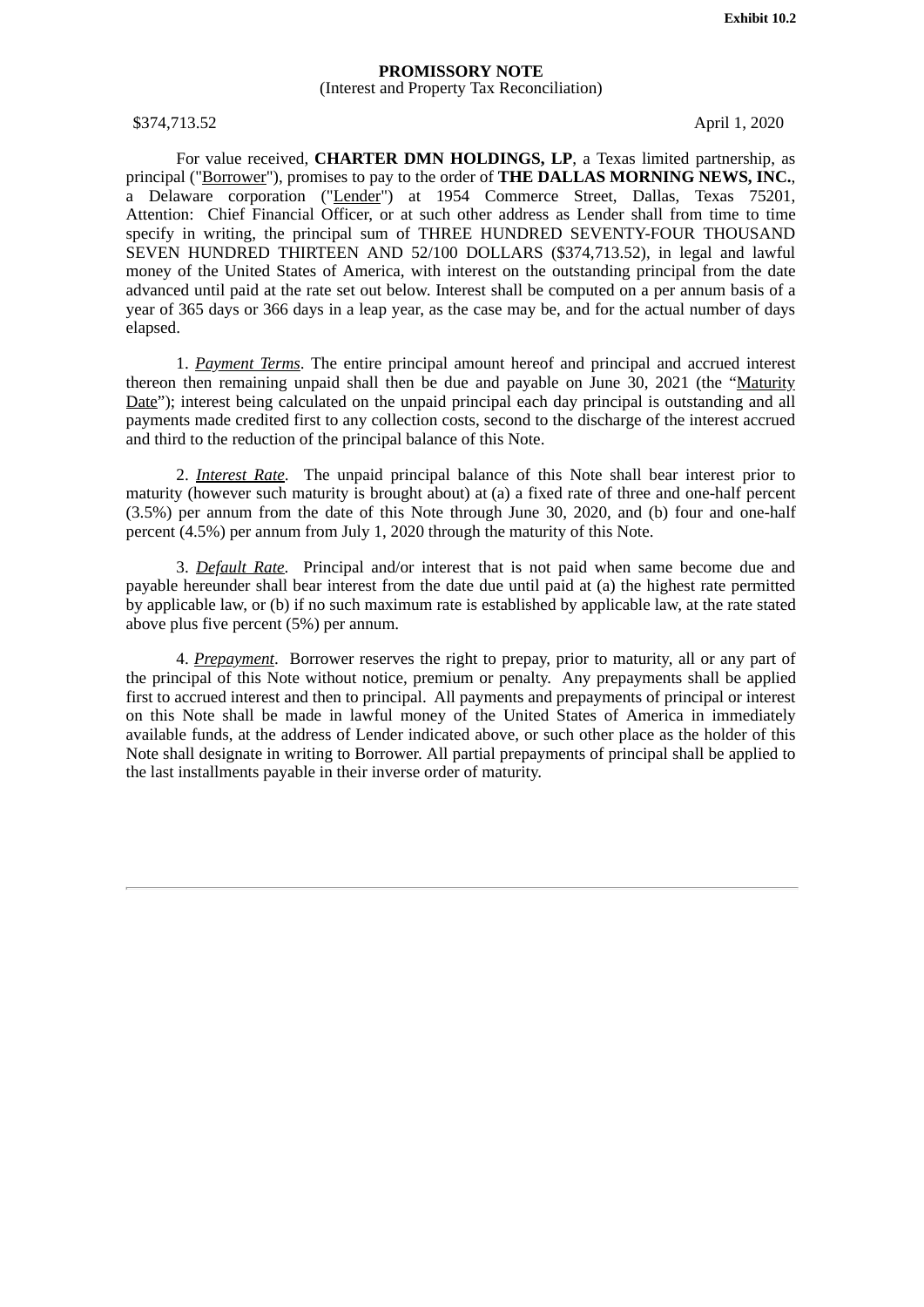#### **PROMISSORY NOTE** (Interest and Property Tax Reconciliation)

<span id="page-15-0"></span>\$374,713.52 April 1, 2020

For value received, **CHARTER DMN HOLDINGS, LP**, a Texas limited partnership, as principal ("Borrower"), promises to pay to the order of **THE DALLAS MORNING NEWS, INC.**, a Delaware corporation ("Lender") at 1954 Commerce Street, Dallas, Texas 75201, Attention: Chief Financial Officer, or at such other address as Lender shall from time to time specify in writing, the principal sum of THREE HUNDRED SEVENTY-FOUR THOUSAND SEVEN HUNDRED THIRTEEN AND 52/100 DOLLARS (\$374,713.52), in legal and lawful money of the United States of America, with interest on the outstanding principal from the date advanced until paid at the rate set out below. Interest shall be computed on a per annum basis of a year of 365 days or 366 days in a leap year, as the case may be, and for the actual number of days elapsed.

1. *Payment Terms*. The entire principal amount hereof and principal and accrued interest thereon then remaining unpaid shall then be due and payable on June  $30$ , 2021 (the "Maturity Date"); interest being calculated on the unpaid principal each day principal is outstanding and all payments made credited first to any collection costs, second to the discharge of the interest accrued and third to the reduction of the principal balance of this Note.

2. *Interest Rate*. The unpaid principal balance of this Note shall bear interest prior to maturity (however such maturity is brought about) at (a) a fixed rate of three and one-half percent (3.5%) per annum from the date of this Note through June 30, 2020, and (b) four and one-half percent (4.5%) per annum from July 1, 2020 through the maturity of this Note.

3. *Default Rate*. Principal and/or interest that is not paid when same become due and payable hereunder shall bear interest from the date due until paid at (a) the highest rate permitted by applicable law, or (b) if no such maximum rate is established by applicable law, at the rate stated above plus five percent (5%) per annum.

4. *Prepayment*. Borrower reserves the right to prepay, prior to maturity, all or any part of the principal of this Note without notice, premium or penalty. Any prepayments shall be applied first to accrued interest and then to principal. All payments and prepayments of principal or interest on this Note shall be made in lawful money of the United States of America in immediately available funds, at the address of Lender indicated above, or such other place as the holder of this Note shall designate in writing to Borrower. All partial prepayments of principal shall be applied to the last installments payable in their inverse order of maturity.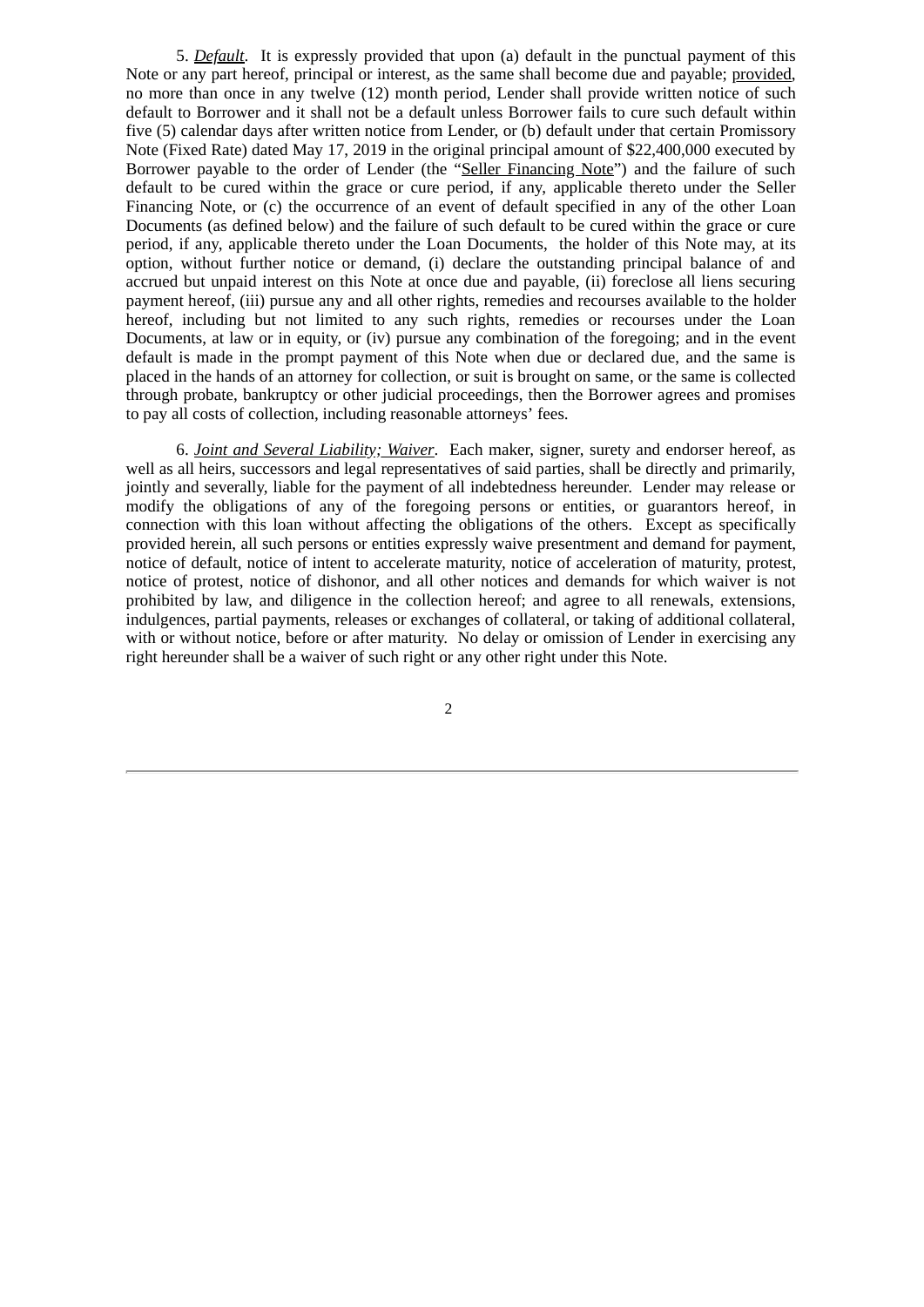5. *Default*. It is expressly provided that upon (a) default in the punctual payment of this Note or any part hereof, principal or interest, as the same shall become due and payable; provided, no more than once in any twelve (12) month period, Lender shall provide written notice of such default to Borrower and it shall not be a default unless Borrower fails to cure such default within five (5) calendar days after written notice from Lender, or (b) default under that certain Promissory Note (Fixed Rate) dated May 17, 2019 in the original principal amount of \$22,400,000 executed by Borrower payable to the order of Lender (the "Seller Financing Note") and the failure of such default to be cured within the grace or cure period, if any, applicable thereto under the Seller Financing Note, or (c) the occurrence of an event of default specified in any of the other Loan Documents (as defined below) and the failure of such default to be cured within the grace or cure period, if any, applicable thereto under the Loan Documents, the holder of this Note may, at its option, without further notice or demand, (i) declare the outstanding principal balance of and accrued but unpaid interest on this Note at once due and payable, (ii) foreclose all liens securing payment hereof, (iii) pursue any and all other rights, remedies and recourses available to the holder hereof, including but not limited to any such rights, remedies or recourses under the Loan Documents, at law or in equity, or (iv) pursue any combination of the foregoing; and in the event default is made in the prompt payment of this Note when due or declared due, and the same is placed in the hands of an attorney for collection, or suit is brought on same, or the same is collected through probate, bankruptcy or other judicial proceedings, then the Borrower agrees and promises to pay all costs of collection, including reasonable attorneys' fees.

6. *Joint and Several Liability; Waiver*. Each maker, signer, surety and endorser hereof, as well as all heirs, successors and legal representatives of said parties, shall be directly and primarily, jointly and severally, liable for the payment of all indebtedness hereunder. Lender may release or modify the obligations of any of the foregoing persons or entities, or guarantors hereof, in connection with this loan without affecting the obligations of the others. Except as specifically provided herein, all such persons or entities expressly waive presentment and demand for payment, notice of default, notice of intent to accelerate maturity, notice of acceleration of maturity, protest, notice of protest, notice of dishonor, and all other notices and demands for which waiver is not prohibited by law, and diligence in the collection hereof; and agree to all renewals, extensions, indulgences, partial payments, releases or exchanges of collateral, or taking of additional collateral, with or without notice, before or after maturity. No delay or omission of Lender in exercising any right hereunder shall be a waiver of such right or any other right under this Note.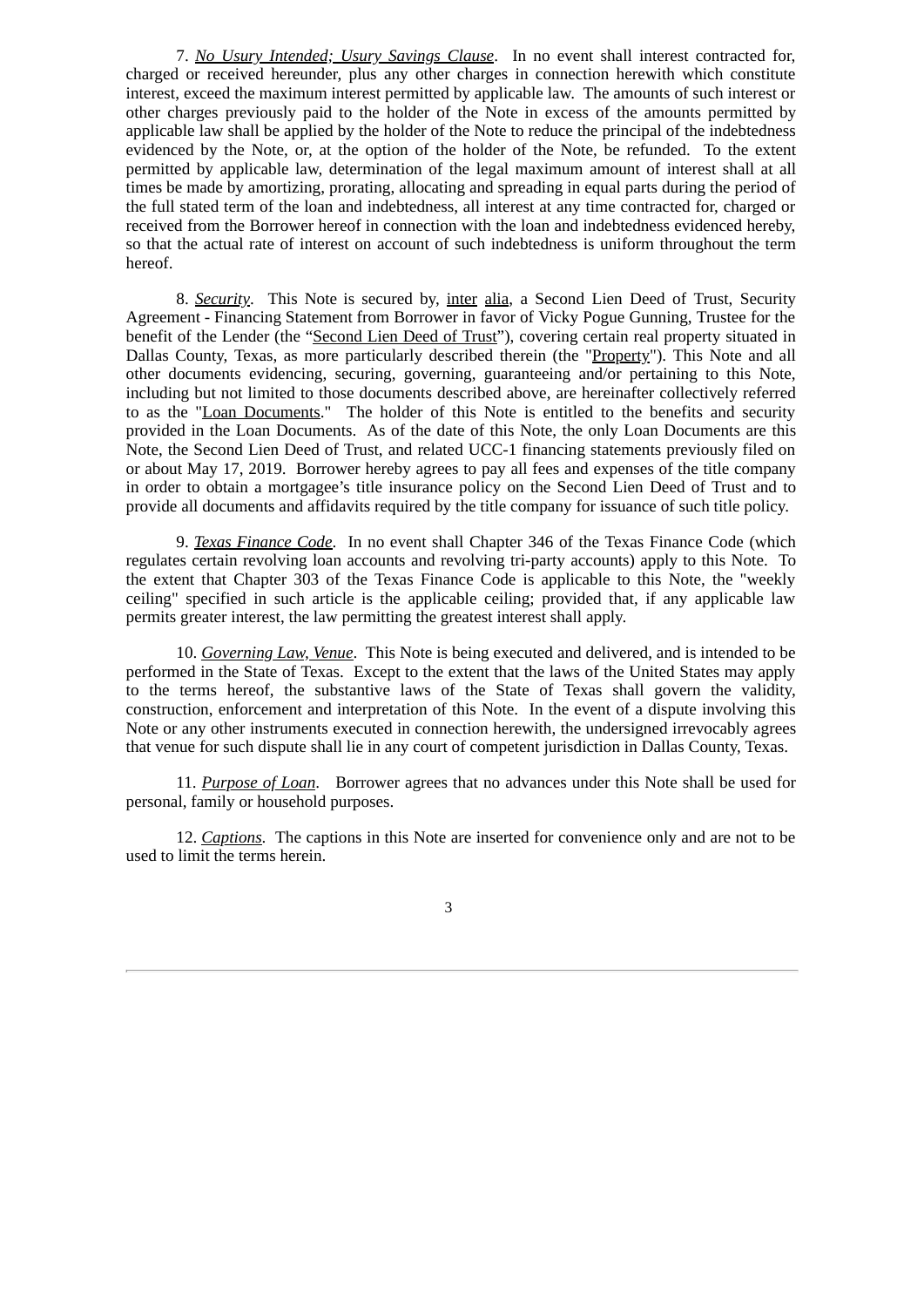7. *No Usury Intended; Usury Savings Clause*. In no event shall interest contracted for, charged or received hereunder, plus any other charges in connection herewith which constitute interest, exceed the maximum interest permitted by applicable law. The amounts of such interest or other charges previously paid to the holder of the Note in excess of the amounts permitted by applicable law shall be applied by the holder of the Note to reduce the principal of the indebtedness evidenced by the Note, or, at the option of the holder of the Note, be refunded. To the extent permitted by applicable law, determination of the legal maximum amount of interest shall at all times be made by amortizing, prorating, allocating and spreading in equal parts during the period of the full stated term of the loan and indebtedness, all interest at any time contracted for, charged or received from the Borrower hereof in connection with the loan and indebtedness evidenced hereby, so that the actual rate of interest on account of such indebtedness is uniform throughout the term hereof.

8. *Security*. This Note is secured by, inter alia, a Second Lien Deed of Trust, Security Agreement - Financing Statement from Borrower in favor of Vicky Pogue Gunning, Trustee for the benefit of the Lender (the "Second Lien Deed of Trust"), covering certain real property situated in Dallas County, Texas, as more particularly described therein (the "Property"). This Note and all other documents evidencing, securing, governing, guaranteeing and/or pertaining to this Note, including but not limited to those documents described above, are hereinafter collectively referred to as the "Loan Documents." The holder of this Note is entitled to the benefits and security provided in the Loan Documents. As of the date of this Note, the only Loan Documents are this Note, the Second Lien Deed of Trust, and related UCC-1 financing statements previously filed on or about May 17, 2019. Borrower hereby agrees to pay all fees and expenses of the title company in order to obtain a mortgagee's title insurance policy on the Second Lien Deed of Trust and to provide all documents and affidavits required by the title company for issuance of such title policy.

9. *Texas Finance Code*. In no event shall Chapter 346 of the Texas Finance Code (which regulates certain revolving loan accounts and revolving tri-party accounts) apply to this Note. To the extent that Chapter 303 of the Texas Finance Code is applicable to this Note, the "weekly ceiling" specified in such article is the applicable ceiling; provided that, if any applicable law permits greater interest, the law permitting the greatest interest shall apply.

10. *Governing Law, Venue*. This Note is being executed and delivered, and is intended to be performed in the State of Texas. Except to the extent that the laws of the United States may apply to the terms hereof, the substantive laws of the State of Texas shall govern the validity, construction, enforcement and interpretation of this Note. In the event of a dispute involving this Note or any other instruments executed in connection herewith, the undersigned irrevocably agrees that venue for such dispute shall lie in any court of competent jurisdiction in Dallas County, Texas.

11. *Purpose of Loan*. Borrower agrees that no advances under this Note shall be used for personal, family or household purposes.

12. *Captions*. The captions in this Note are inserted for convenience only and are not to be used to limit the terms herein.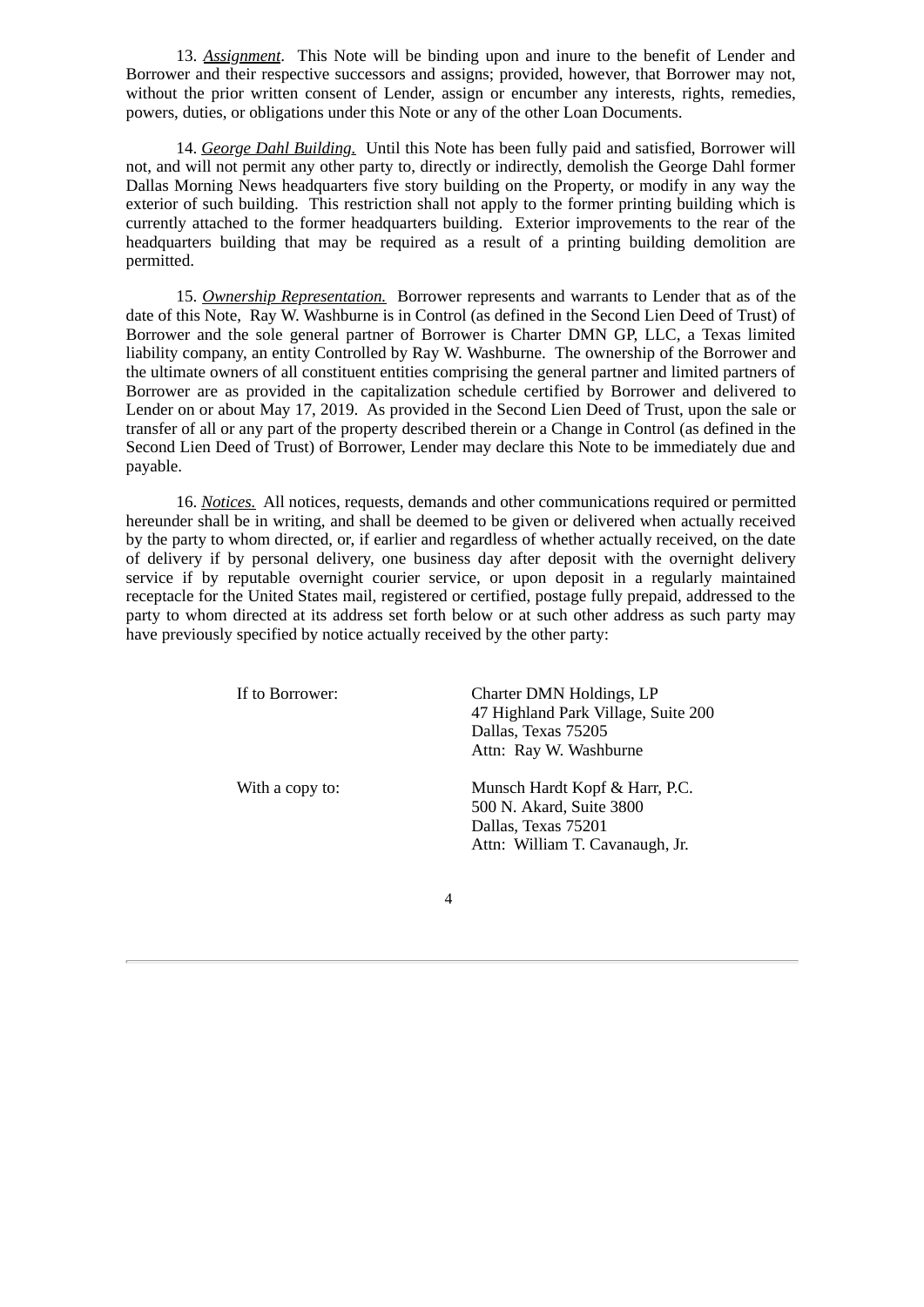13. *Assignment*. This Note will be binding upon and inure to the benefit of Lender and Borrower and their respective successors and assigns; provided, however, that Borrower may not, without the prior written consent of Lender, assign or encumber any interests, rights, remedies, powers, duties, or obligations under this Note or any of the other Loan Documents.

14. *George Dahl Building.* Until this Note has been fully paid and satisfied, Borrower will not, and will not permit any other party to, directly or indirectly, demolish the George Dahl former Dallas Morning News headquarters five story building on the Property, or modify in any way the exterior of such building. This restriction shall not apply to the former printing building which is currently attached to the former headquarters building. Exterior improvements to the rear of the headquarters building that may be required as a result of a printing building demolition are permitted.

15. *Ownership Representation.* Borrower represents and warrants to Lender that as of the date of this Note, Ray W. Washburne is in Control (as defined in the Second Lien Deed of Trust) of Borrower and the sole general partner of Borrower is Charter DMN GP, LLC, a Texas limited liability company, an entity Controlled by Ray W. Washburne. The ownership of the Borrower and the ultimate owners of all constituent entities comprising the general partner and limited partners of Borrower are as provided in the capitalization schedule certified by Borrower and delivered to Lender on or about May 17, 2019. As provided in the Second Lien Deed of Trust, upon the sale or transfer of all or any part of the property described therein or a Change in Control (as defined in the Second Lien Deed of Trust) of Borrower, Lender may declare this Note to be immediately due and payable.

16. *Notices.* All notices, requests, demands and other communications required or permitted hereunder shall be in writing, and shall be deemed to be given or delivered when actually received by the party to whom directed, or, if earlier and regardless of whether actually received, on the date of delivery if by personal delivery, one business day after deposit with the overnight delivery service if by reputable overnight courier service, or upon deposit in a regularly maintained receptacle for the United States mail, registered or certified, postage fully prepaid, addressed to the party to whom directed at its address set forth below or at such other address as such party may have previously specified by notice actually received by the other party:

| If to Borrower: | Charter DMN Holdings, LP<br>47 Highland Park Village, Suite 200<br>Dallas, Texas 75205<br>Attn: Ray W. Washburne     |
|-----------------|----------------------------------------------------------------------------------------------------------------------|
| With a copy to: | Munsch Hardt Kopf & Harr, P.C.<br>500 N. Akard, Suite 3800<br>Dallas, Texas 75201<br>Attn: William T. Cavanaugh, Jr. |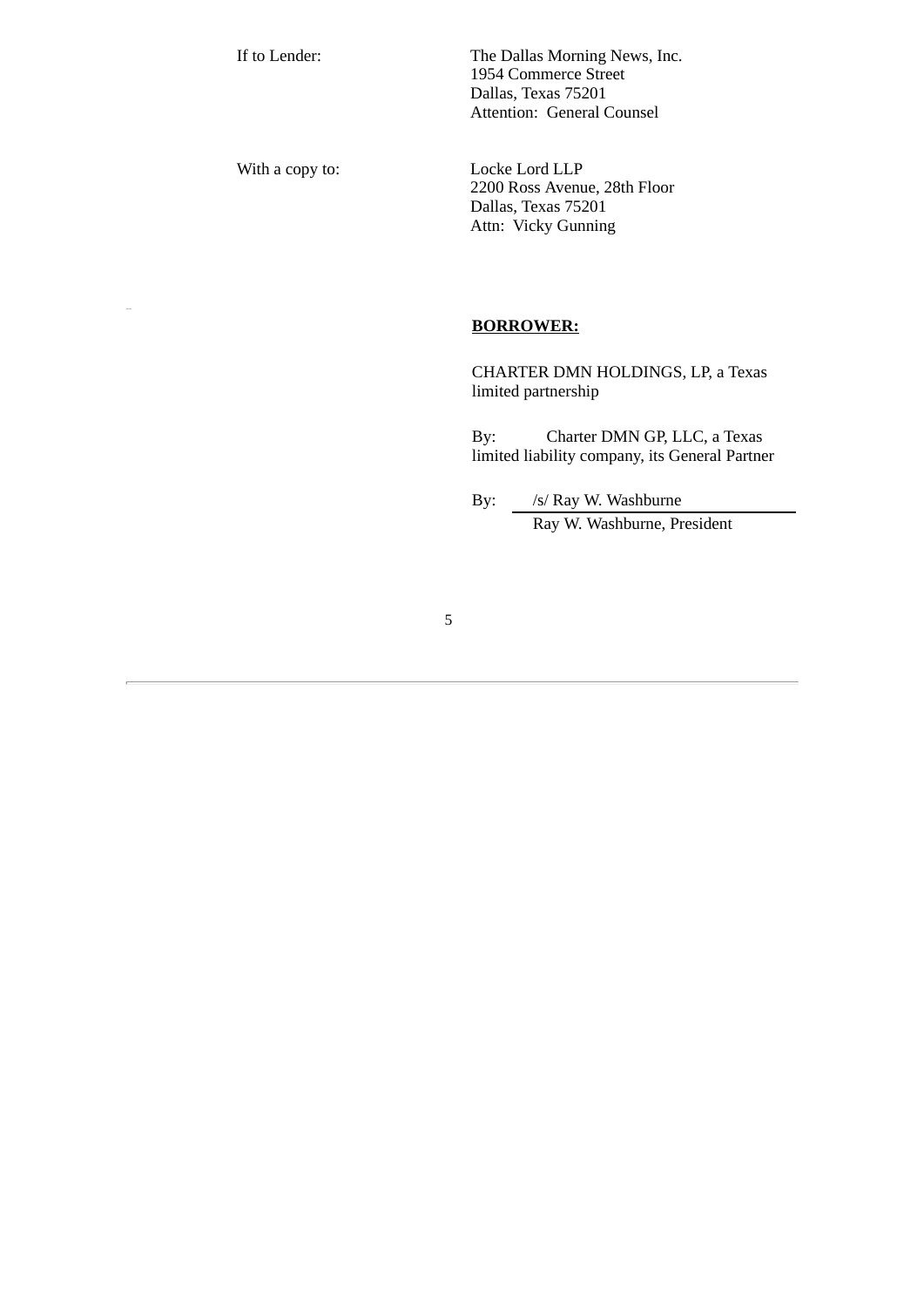If to Lender: The Dallas Morning News, Inc. 1954 Commerce Street Dallas, Texas 75201 Attention: General Counsel

With a copy to: Locke Lord LLP 2200 Ross Avenue, 28th Floor Dallas, Texas 75201 Attn: Vicky Gunning

# **BORROWER:**

CHARTER DMN HOLDINGS, LP, a Texas limited partnership

By: Charter DMN GP, LLC, a Texas limited liability company, its General Partner

By: /s/ Ray W. Washburne Ray W. Washburne, President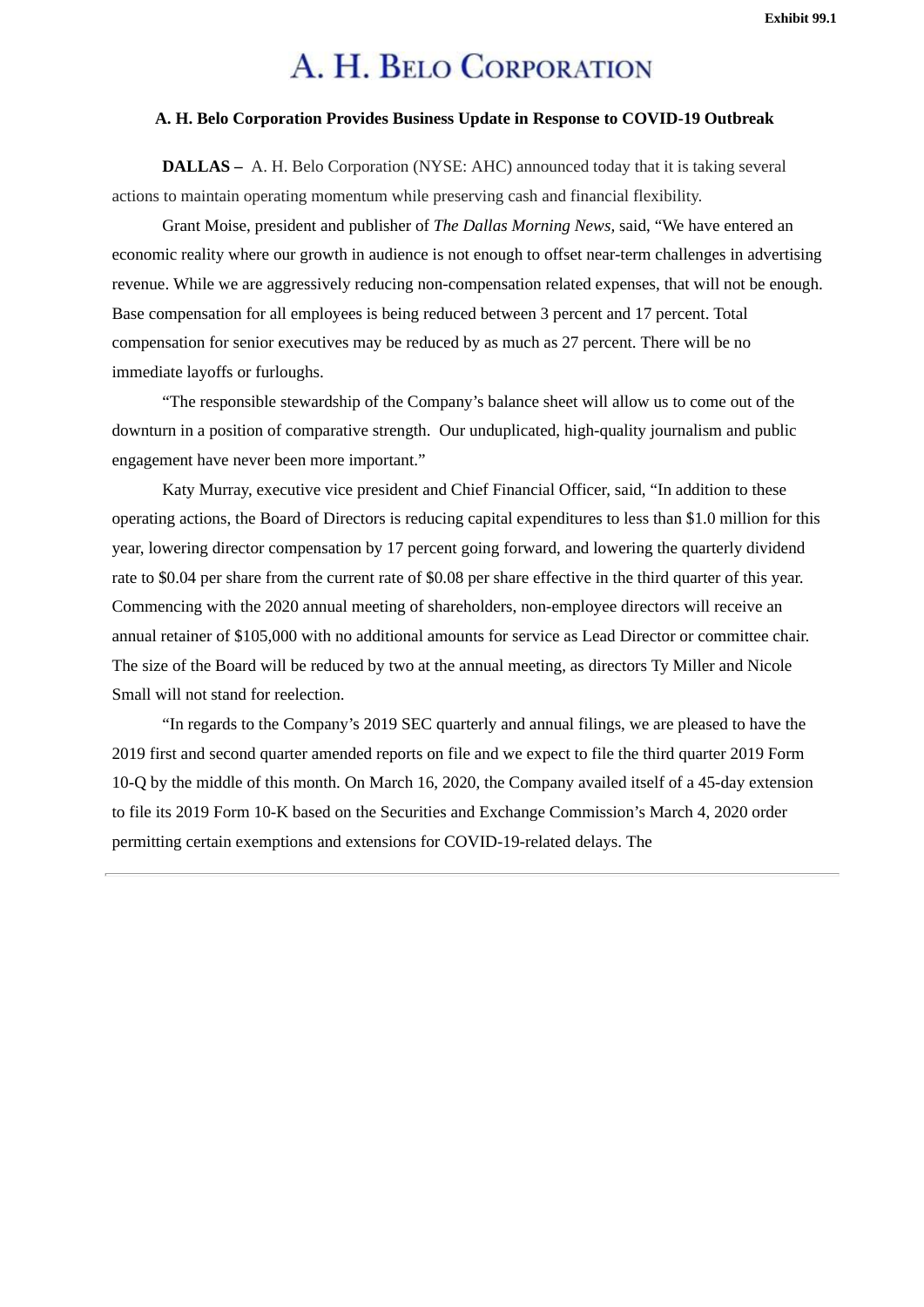# A. H. BELO CORPORATION

# <span id="page-20-0"></span>**A. H. Belo Corporation Provides Business Update in Response to COVID-19 Outbreak**

**DALLAS –** A. H. Belo Corporation (NYSE: AHC) announced today that it is taking several actions to maintain operating momentum while preserving cash and financial flexibility.

Grant Moise, president and publisher of *The Dallas Morning News,* said, "We have entered an economic reality where our growth in audience is not enough to offset near-term challenges in advertising revenue. While we are aggressively reducing non-compensation related expenses, that will not be enough. Base compensation for all employees is being reduced between 3 percent and 17 percent. Total compensation for senior executives may be reduced by as much as 27 percent. There will be no immediate layoffs or furloughs.

"The responsible stewardship of the Company's balance sheet will allow us to come out of the downturn in a position of comparative strength. Our unduplicated, high-quality journalism and public engagement have never been more important."

Katy Murray, executive vice president and Chief Financial Officer, said, "In addition to these operating actions, the Board of Directors is reducing capital expenditures to less than \$1.0 million for this year, lowering director compensation by 17 percent going forward, and lowering the quarterly dividend rate to \$0.04 per share from the current rate of \$0.08 per share effective in the third quarter of this year. Commencing with the 2020 annual meeting of shareholders, non-employee directors will receive an annual retainer of \$105,000 with no additional amounts for service as Lead Director or committee chair. The size of the Board will be reduced by two at the annual meeting, as directors Ty Miller and Nicole Small will not stand for reelection.

"In regards to the Company's 2019 SEC quarterly and annual filings, we are pleased to have the 2019 first and second quarter amended reports on file and we expect to file the third quarter 2019 Form 10-Q by the middle of this month. On March 16, 2020, the Company availed itself of a 45-day extension to file its 2019 Form 10-K based on the Securities and Exchange Commission's March 4, 2020 order permitting certain exemptions and extensions for COVID-19-related delays. The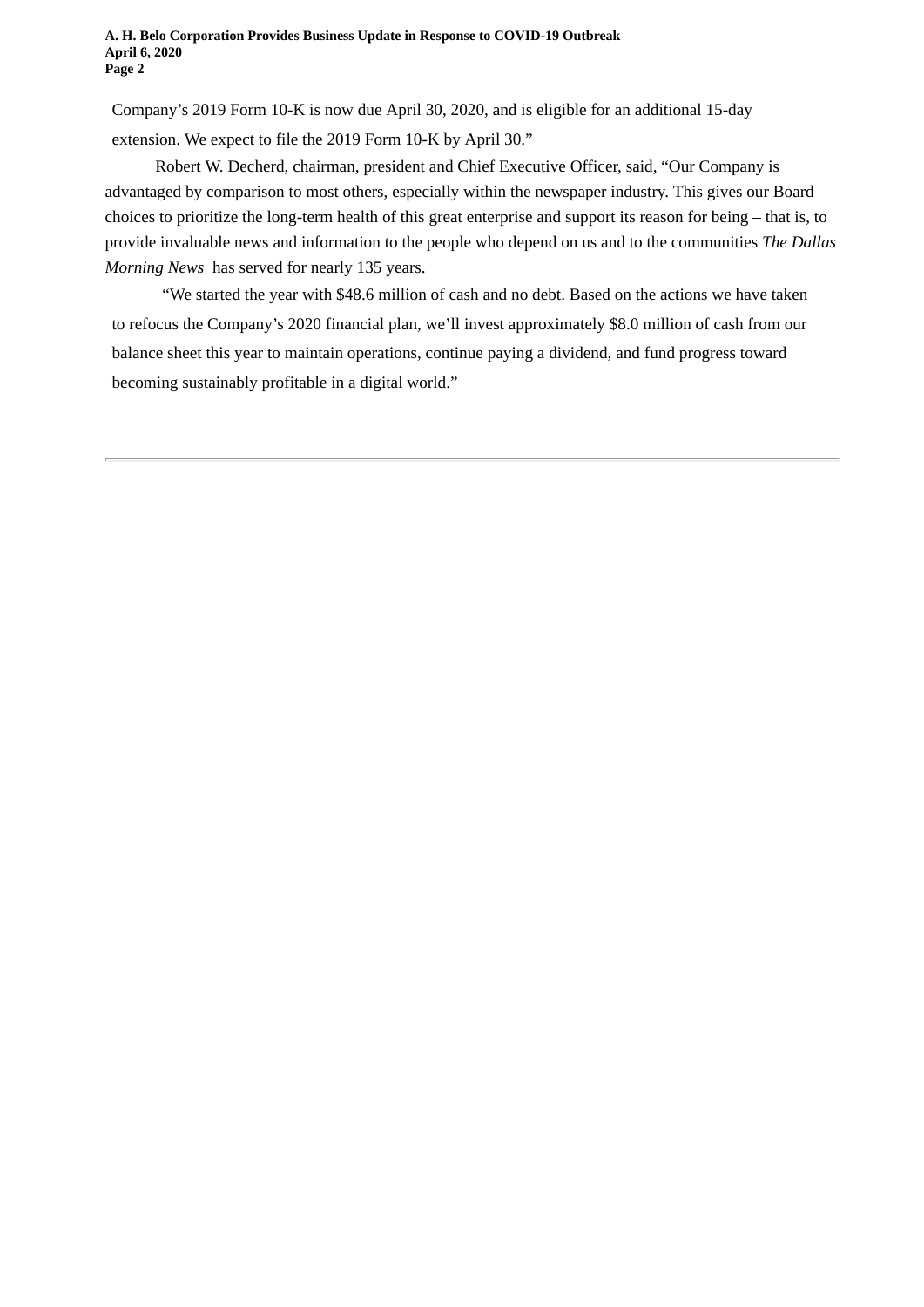Company's 2019 Form 10-K is now due April 30, 2020, and is eligible for an additional 15-day extension. We expect to file the 2019 Form 10-K by April 30."

Robert W. Decherd, chairman, president and Chief Executive Officer, said, "Our Company is advantaged by comparison to most others, especially within the newspaper industry. This gives our Board choices to prioritize the long-term health of this great enterprise and support its reason for being – that is, to provide invaluable news and information to the people who depend on us and to the communities *The Dallas Morning News* has served for nearly 135 years.

"We started the year with \$48.6 million of cash and no debt. Based on the actions we have taken to refocus the Company's 2020 financial plan, we'll invest approximately \$8.0 million of cash from our balance sheet this year to maintain operations, continue paying a dividend, and fund progress toward becoming sustainably profitable in a digital world."